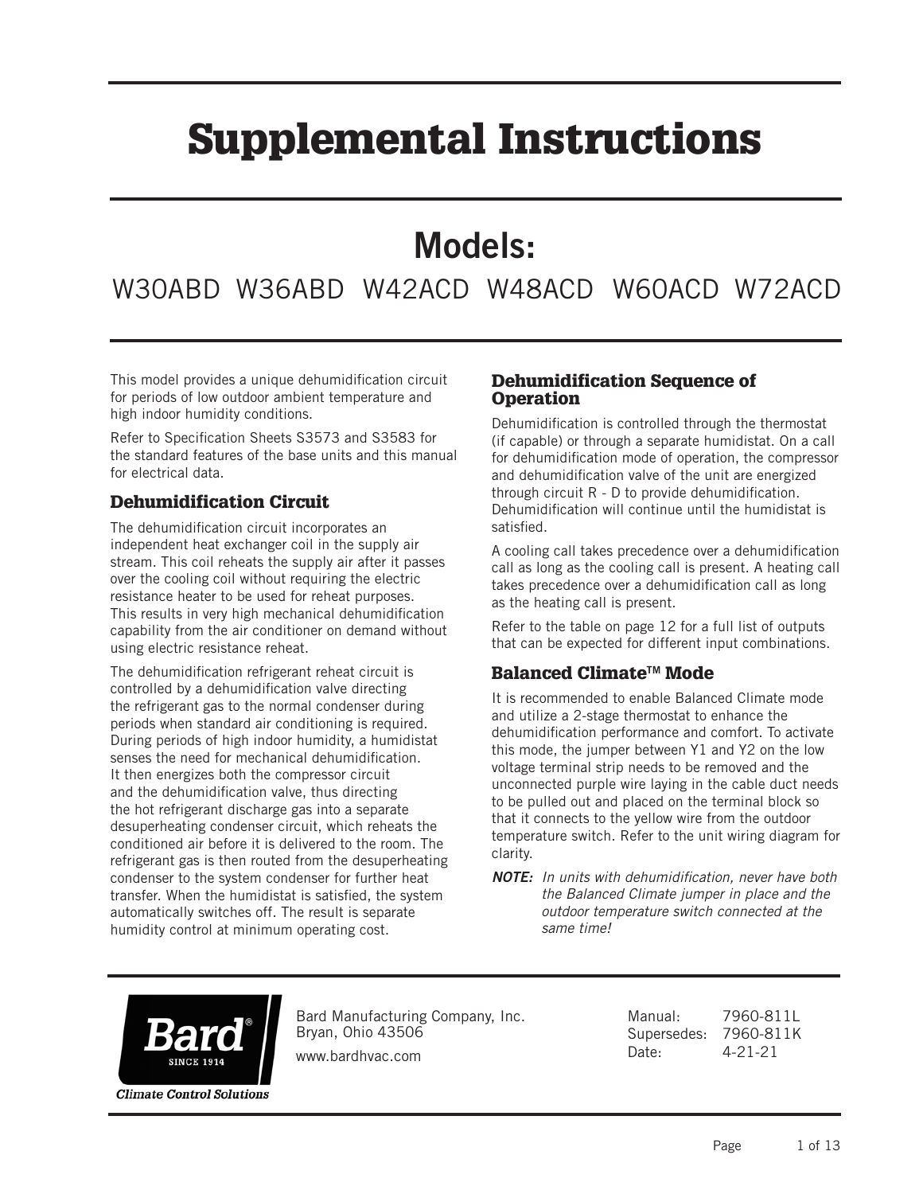# Supplemental Instructions

## Models:

### W30ABD W36ABD W42ACD W48ACD W60ACD W72ACD

This model provides a unique dehumidification circuit for periods of low outdoor ambient temperature and high indoor humidity conditions.

Refer to Specification Sheets S3573 and S3583 for the standard features of the base units and this manual for electrical data.

#### Dehumidification Circuit

The dehumidification circuit incorporates an independent heat exchanger coil in the supply air stream. This coil reheats the supply air after it passes over the cooling coil without requiring the electric resistance heater to be used for reheat purposes. This results in very high mechanical dehumidification capability from the air conditioner on demand without using electric resistance reheat.

The dehumidification refrigerant reheat circuit is controlled by a dehumidification valve directing the refrigerant gas to the normal condenser during periods when standard air conditioning is required. During periods of high indoor humidity, a humidistat senses the need for mechanical dehumidification. It then energizes both the compressor circuit and the dehumidification valve, thus directing the hot refrigerant discharge gas into a separate desuperheating condenser circuit, which reheats the conditioned air before it is delivered to the room. The refrigerant gas is then routed from the desuperheating condenser to the system condenser for further heat transfer. When the humidistat is satisfied, the system automatically switches off. The result is separate humidity control at minimum operating cost.

#### Dehumidification Sequence of **Operation**

Dehumidification is controlled through the thermostat (if capable) or through a separate humidistat. On a call for dehumidification mode of operation, the compressor and dehumidification valve of the unit are energized through circuit R - D to provide dehumidification. Dehumidification will continue until the humidistat is satisfied.

A cooling call takes precedence over a dehumidification call as long as the cooling call is present. A heating call takes precedence over a dehumidification call as long as the heating call is present.

Refer to the table on page 12 for a full list of outputs that can be expected for different input combinations.

#### Balanced Climate<sup>™</sup> Mode

It is recommended to enable Balanced Climate mode and utilize a 2-stage thermostat to enhance the dehumidification performance and comfort. To activate this mode, the jumper between Y1 and Y2 on the low voltage terminal strip needs to be removed and the unconnected purple wire laying in the cable duct needs to be pulled out and placed on the terminal block so that it connects to the yellow wire from the outdoor temperature switch. Refer to the unit wiring diagram for clarity.



Bard Manufacturing Company, Inc. Bryan, Ohio 43506

www.bardhvac.com

Manual: 7960-811L Supersedes: 7960-811K Date: 4-21-21

*NOTE: In units with dehumidification, never have both the Balanced Climate jumper in place and the outdoor temperature switch connected at the same time!*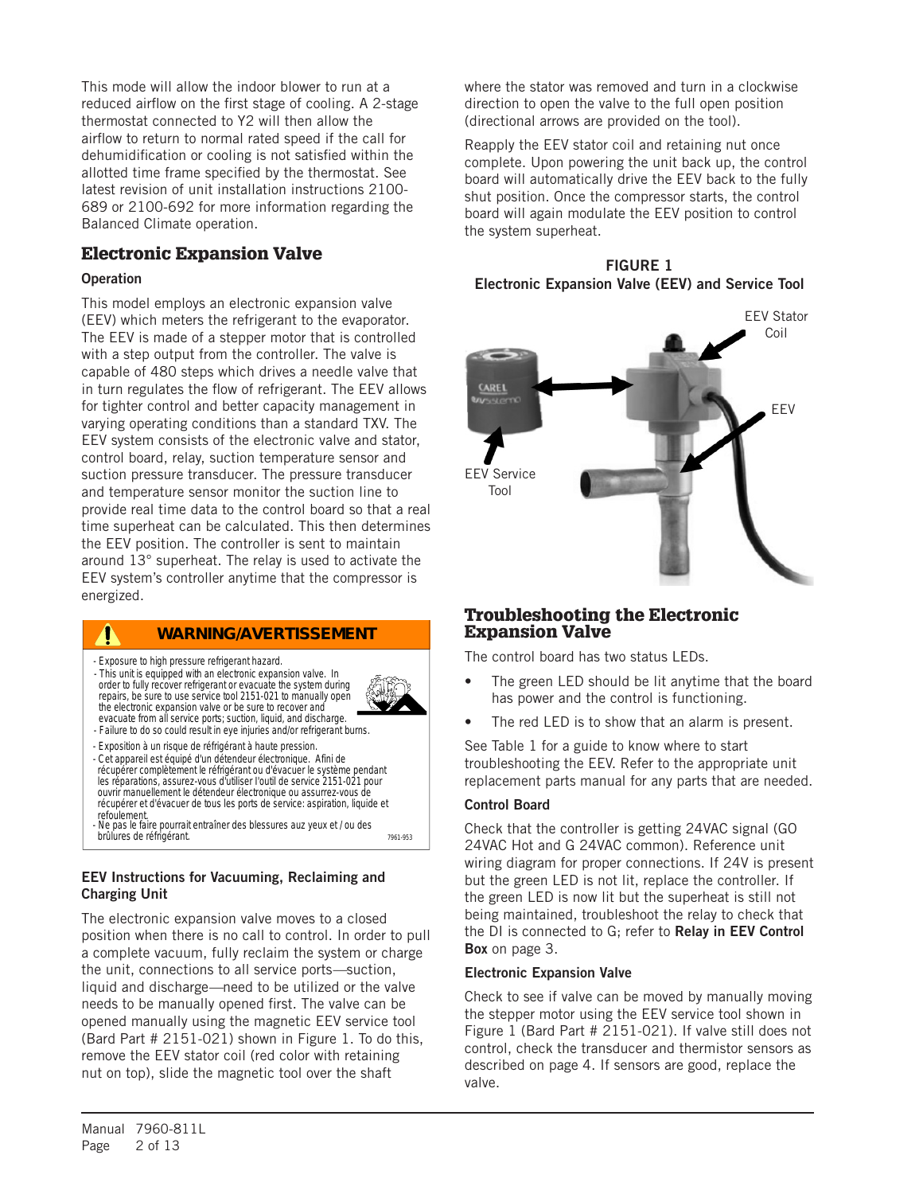This mode will allow the indoor blower to run at a reduced airflow on the first stage of cooling. A 2-stage thermostat connected to Y2 will then allow the airflow to return to normal rated speed if the call for dehumidification or cooling is not satisfied within the allotted time frame specified by the thermostat. See latest revision of unit installation instructions 2100- 689 or 2100-692 for more information regarding the Balanced Climate operation.

#### Electronic Expansion Valve

#### **Operation**

This model employs an electronic expansion valve (EEV) which meters the refrigerant to the evaporator. The EEV is made of a stepper motor that is controlled with a step output from the controller. The valve is capable of 480 steps which drives a needle valve that in turn regulates the flow of refrigerant. The EEV allows for tighter control and better capacity management in varying operating conditions than a standard TXV. The EEV system consists of the electronic valve and stator, control board, relay, suction temperature sensor and suction pressure transducer. The pressure transducer and temperature sensor monitor the suction line to provide real time data to the control board so that a real time superheat can be calculated. This then determines the EEV position. The controller is sent to maintain around 13° superheat. The relay is used to activate the EEV system's controller anytime that the compressor is energized.

#### **WARNING/AVERTISSEMENT**

- Exposure to high pressure refrigerant hazard.
- This unit is equipped with an electronic expansion valve. In order to fully recover refrigerant or evacuate the system during repairs, be sure to use service tool 2151-021 to manually open the electronic expansion valve or be sure to recover and evacuate from all service ports; suction, liquid, and discharge.



- Failure to do so could result in eye injuries and/or refrigerant burns.
- Exposition à un risque de réfrigérant à haute pression. - Cet appareil est équipé d'un détendeur électronique. Afini de récupérer complètement le réfrigérant ou d'évacuer le système pendant les réparations, assurez-vous d'utiliser I'outil de service 2151-021 pour ouvrir manuellement le détendeur électronique ou assurrez-vous de récupérer et d'évacuer de tous les ports de service: aspiration, liquide et refoulement.
- 7961-953 - Ne pas le faire pourrait entraîner des blessures auz yeux et / ou des brûlures de réfrigérant.

#### EEV Instructions for Vacuuming, Reclaiming and Charging Unit

The electronic expansion valve moves to a closed position when there is no call to control. In order to pull a complete vacuum, fully reclaim the system or charge the unit, connections to all service ports*—*suction, liquid and discharge*—*need to be utilized or the valve needs to be manually opened first. The valve can be opened manually using the magnetic EEV service tool (Bard Part # 2151-021) shown in Figure 1. To do this, remove the EEV stator coil (red color with retaining nut on top), slide the magnetic tool over the shaft

where the stator was removed and turn in a clockwise direction to open the valve to the full open position (directional arrows are provided on the tool).

Reapply the EEV stator coil and retaining nut once complete. Upon powering the unit back up, the control board will automatically drive the EEV back to the fully shut position. Once the compressor starts, the control board will again modulate the EEV position to control the system superheat.





#### Troubleshooting the Electronic Expansion Valve

The control board has two status LEDs.

- The green LED should be lit anytime that the board has power and the control is functioning.
- The red LED is to show that an alarm is present.

See Table 1 for a guide to know where to start troubleshooting the EEV. Refer to the appropriate unit replacement parts manual for any parts that are needed.

#### Control Board

Check that the controller is getting 24VAC signal (GO 24VAC Hot and G 24VAC common). Reference unit wiring diagram for proper connections. If 24V is present but the green LED is not lit, replace the controller. If the green LED is now lit but the superheat is still not being maintained, troubleshoot the relay to check that the DI is connected to G; refer to Relay in EEV Control **Box** on page 3.

#### Electronic Expansion Valve

Check to see if valve can be moved by manually moving the stepper motor using the EEV service tool shown in Figure 1 (Bard Part # 2151-021). If valve still does not control, check the transducer and thermistor sensors as described on page 4. If sensors are good, replace the valve.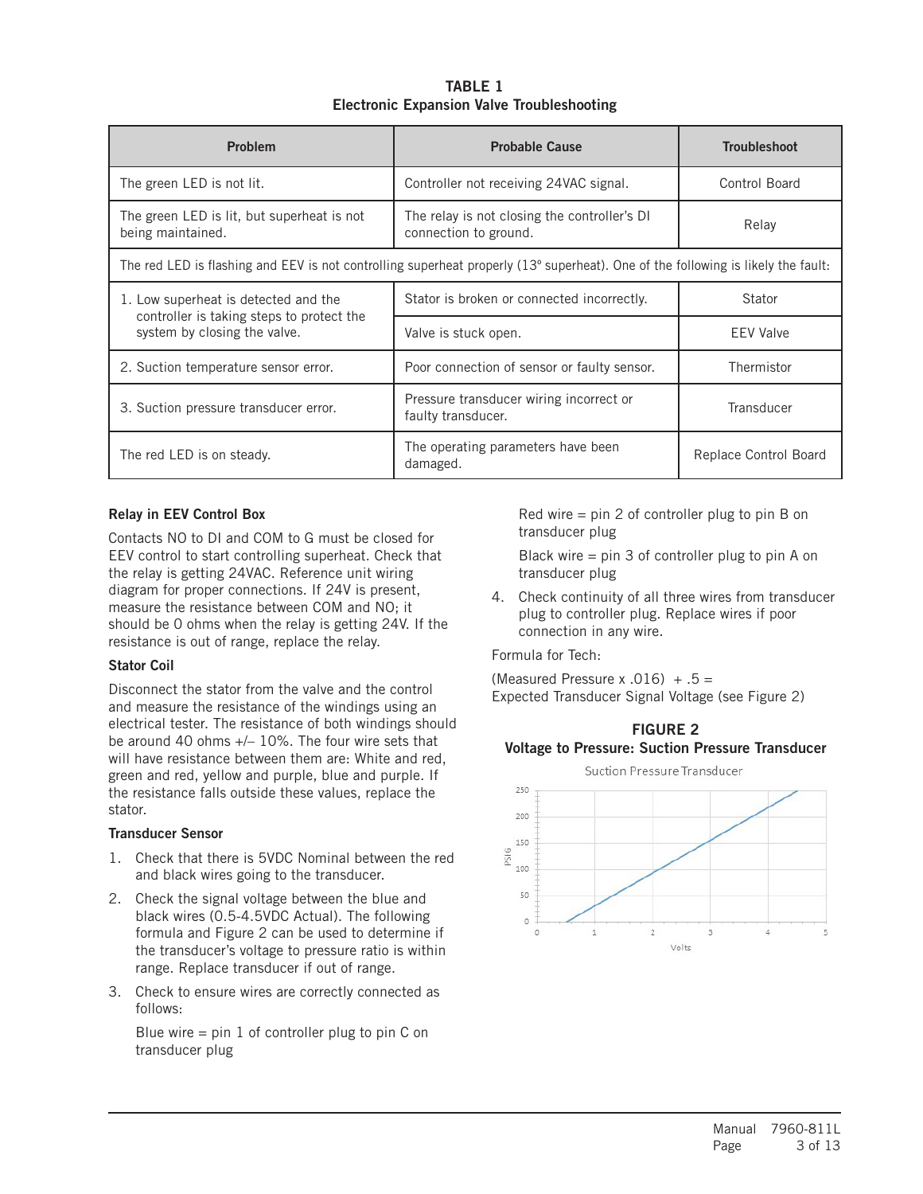#### TABLE 1 Electronic Expansion Valve Troubleshooting

| <b>Problem</b>                                                            | <b>Probable Cause</b>                                                                                                            | <b>Troubleshoot</b>   |
|---------------------------------------------------------------------------|----------------------------------------------------------------------------------------------------------------------------------|-----------------------|
| The green LED is not lit.                                                 | Controller not receiving 24VAC signal.                                                                                           | Control Board         |
| The green LED is lit, but superheat is not<br>being maintained.           | The relay is not closing the controller's DI<br>connection to ground.                                                            | Relay                 |
|                                                                           | The red LED is flashing and EEV is not controlling superheat properly (13° superheat). One of the following is likely the fault: |                       |
| 1. Low superheat is detected and the                                      | Stator is broken or connected incorrectly.                                                                                       | Stator                |
| controller is taking steps to protect the<br>system by closing the valve. | Valve is stuck open.                                                                                                             | <b>EEV Valve</b>      |
| 2. Suction temperature sensor error.                                      | Poor connection of sensor or faulty sensor.                                                                                      | Thermistor            |
| 3. Suction pressure transducer error.                                     | Pressure transducer wiring incorrect or<br>faulty transducer.                                                                    | Transducer            |
| The red LED is on steady.                                                 | The operating parameters have been<br>damaged.                                                                                   | Replace Control Board |

#### Relay in EEV Control Box

Contacts NO to DI and COM to G must be closed for EEV control to start controlling superheat. Check that the relay is getting 24VAC. Reference unit wiring diagram for proper connections. If 24V is present, measure the resistance between COM and NO; it should be 0 ohms when the relay is getting 24V. If the resistance is out of range, replace the relay.

#### Stator Coil

Disconnect the stator from the valve and the control and measure the resistance of the windings using an electrical tester. The resistance of both windings should be around 40 ohms +/– 10%. The four wire sets that will have resistance between them are: White and red, green and red, yellow and purple, blue and purple. If the resistance falls outside these values, replace the stator.

#### Transducer Sensor

- 1. Check that there is 5VDC Nominal between the red and black wires going to the transducer.
- 2. Check the signal voltage between the blue and black wires (0.5-4.5VDC Actual). The following formula and Figure 2 can be used to determine if the transducer's voltage to pressure ratio is within range. Replace transducer if out of range.
- 3. Check to ensure wires are correctly connected as follows:

Blue wire  $=$  pin 1 of controller plug to pin C on transducer plug

Red wire = pin 2 of controller plug to pin B on transducer plug

Black wire = pin 3 of controller plug to pin A on transducer plug

4. Check continuity of all three wires from transducer plug to controller plug. Replace wires if poor connection in any wire.

Formula for Tech:

(Measured Pressure x .016)  $+ .5 =$ Expected Transducer Signal Voltage (see Figure 2)



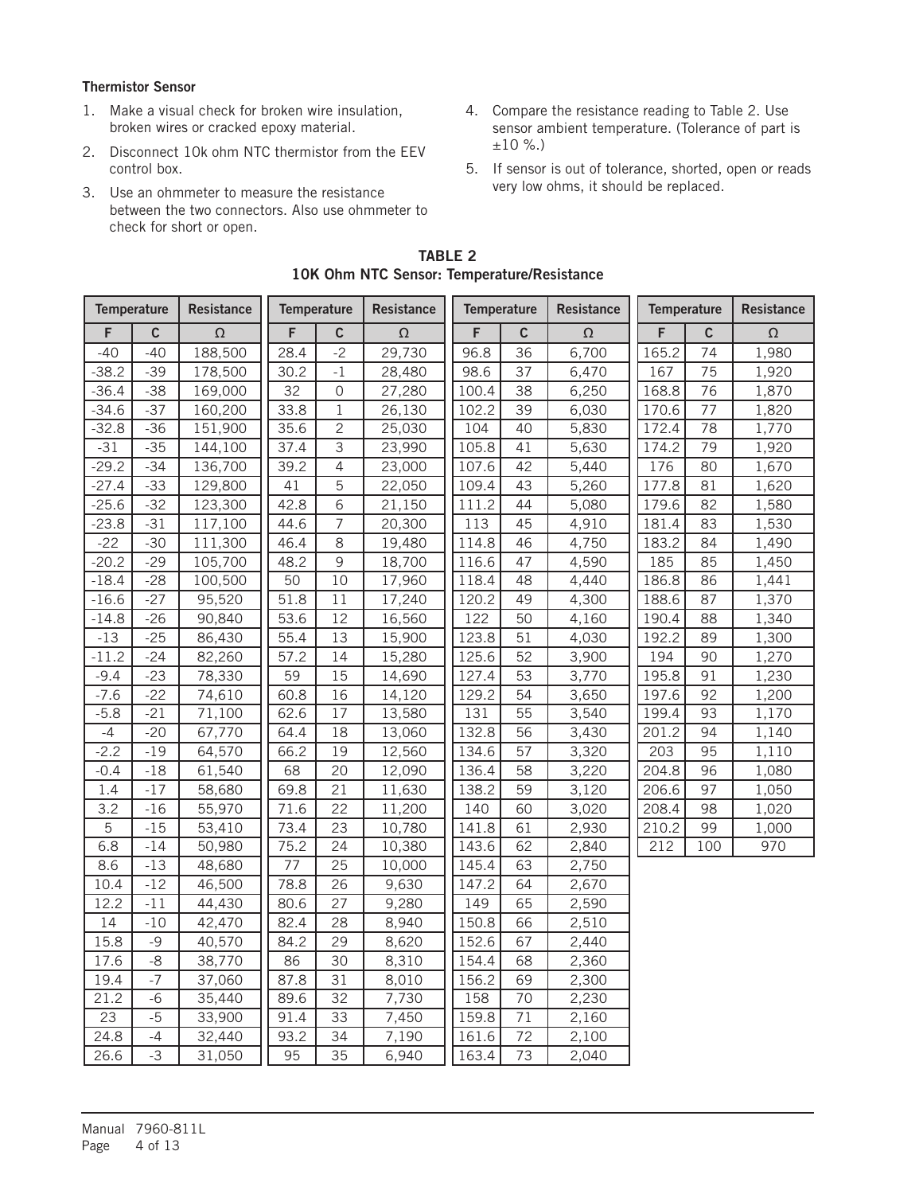#### Thermistor Sensor

- 1. Make a visual check for broken wire insulation, broken wires or cracked epoxy material.
- 2. Disconnect 10k ohm NTC thermistor from the EEV control box.
- 3. Use an ohmmeter to measure the resistance between the two connectors. Also use ohmmeter to check for short or open.
- 4. Compare the resistance reading to Table 2. Use sensor ambient temperature. (Tolerance of part is ±10 %.)
- 5. If sensor is out of tolerance, shorted, open or reads very low ohms, it should be replaced.

| <b>Temperature</b> |             | <b>Resistance</b> |      | <b>Temperature</b> | Resistance | <b>Temperature</b> |             | <b>Resistance</b> | Temperature |             | Resistance |
|--------------------|-------------|-------------------|------|--------------------|------------|--------------------|-------------|-------------------|-------------|-------------|------------|
| F                  | $\mathsf c$ | $\Omega$          | F    | $\mathbf C$        | $\Omega$   | F                  | $\mathsf c$ | $\Omega$          | F           | $\mathbf c$ | $\Omega$   |
| $-40$              | $-40$       | 188,500           | 28.4 | $-2$               | 29,730     | 96.8               | 36          | 6,700             | 165.2       | 74          | 1,980      |
| $-38.2$            | $-39$       | 178,500           | 30.2 | $-1$               | 28,480     | 98.6               | 37          | 6,470             | 167         | 75          | 1,920      |
| $-36.4$            | $-38$       | 169,000           | 32   | 0                  | 27,280     | 100.4              | 38          | 6,250             | 168.8       | 76          | 1,870      |
| $-34.6$            | $-37$       | 160,200           | 33.8 | $1\,$              | 26,130     | 102.2              | 39          | 6,030             | 170.6       | 77          | 1,820      |
| $-32.8$            | $-36$       | 151,900           | 35.6 | $\overline{c}$     | 25,030     | 104                | 40          | 5,830             | 172.4       | 78          | 1,770      |
| $-31$              | $-35$       | 144,100           | 37.4 | $\mathsf 3$        | 23,990     | 105.8              | 41          | 5,630             | 174.2       | 79          | 1,920      |
| $-29.2$            | $-34$       | 136,700           | 39.2 | $\overline{4}$     | 23,000     | 107.6              | 42          | 5,440             | 176         | 80          | 1,670      |
| $-27.4$            | $-33$       | 129,800           | 41   | 5                  | 22,050     | 109.4              | 43          | 5,260             | 177.8       | 81          | 1,620      |
| $-25.6$            | $-32$       | 123,300           | 42.8 | 6                  | 21,150     | 111.2              | 44          | 5,080             | 179.6       | 82          | 1,580      |
| $-23.8$            | $-31$       | 117,100           | 44.6 | $\overline{7}$     | 20,300     | 113                | 45          | 4,910             | 181.4       | 83          | 1,530      |
| $-22$              | $-30$       | 111,300           | 46.4 | 8                  | 19,480     | 114.8              | 46          | 4,750             | 183.2       | 84          | 1,490      |
| $-20.2$            | $-29$       | 105,700           | 48.2 | 9                  | 18,700     | 116.6              | 47          | 4,590             | 185         | 85          | 1,450      |
| $-18.4$            | $-28$       | 100,500           | 50   | 10                 | 17,960     | 118.4              | 48          | 4,440             | 186.8       | 86          | 1,441      |
| $-16.6$            | $-27$       | 95,520            | 51.8 | 11                 | 17,240     | 120.2              | 49          | 4,300             | 188.6       | 87          | 1,370      |
| $-14.8$            | $-26$       | 90,840            | 53.6 | 12                 | 16,560     | 122                | 50          | 4,160             | 190.4       | 88          | 1,340      |
| $-13$              | $-25$       | 86,430            | 55.4 | 13                 | 15,900     | 123.8              | 51          | 4,030             | 192.2       | 89          | 1,300      |
| $-11.2$            | $-24$       | 82,260            | 57.2 | 14                 | 15,280     | 125.6              | 52          | 3,900             | 194         | 90          | 1,270      |
| $-9.4$             | $-23$       | 78,330            | 59   | 15                 | 14,690     | 127.4              | 53          | 3,770             | 195.8       | 91          | 1,230      |
| $-7.6$             | $-22$       | 74,610            | 60.8 | 16                 | 14,120     | 129.2              | 54          | 3,650             | 197.6       | 92          | 1,200      |
| $-5.8$             | $-21$       | 71,100            | 62.6 | 17                 | 13,580     | 131                | 55          | 3,540             | 199.4       | 93          | 1,170      |
| $-4$               | $-20$       | 67,770            | 64.4 | 18                 | 13,060     | 132.8              | 56          | 3,430             | 201.2       | 94          | 1,140      |
| $-2.2$             | $-19$       | 64,570            | 66.2 | 19                 | 12,560     | 134.6              | 57          | 3,320             | 203         | 95          | 1,110      |
| $-0.4$             | $-18$       | 61,540            | 68   | 20                 | 12,090     | 136.4              | 58          | 3,220             | 204.8       | 96          | 1,080      |
| 1.4                | $-17$       | 58,680            | 69.8 | 21                 | 11,630     | 138.2              | 59          | 3,120             | 206.6       | 97          | 1,050      |
| 3.2                | $-16$       | 55,970            | 71.6 | 22                 | 11,200     | 140                | 60          | 3,020             | 208.4       | 98          | 1,020      |
| $\overline{5}$     | $-15$       | 53,410            | 73.4 | 23                 | 10,780     | 141.8              | 61          | 2,930             | 210.2       | 99          | 1,000      |
| 6.8                | $-14$       | 50,980            | 75.2 | 24                 | 10,380     | 143.6              | 62          | 2,840             | 212         | 100         | 970        |
| 8.6                | $-13$       | 48,680            | 77   | 25                 | 10,000     | 145.4              | 63          | 2,750             |             |             |            |
| 10.4               | $-12$       | 46,500            | 78.8 | 26                 | 9,630      | 147.2              | 64          | 2,670             |             |             |            |
| 12.2               | $-11$       | 44,430            | 80.6 | 27                 | 9,280      | 149                | 65          | 2,590             |             |             |            |
| 14                 | $-10$       | 42,470            | 82.4 | 28                 | 8,940      | 150.8              | 66          | 2,510             |             |             |            |
| 15.8               | $-9$        | 40,570            | 84.2 | 29                 | 8,620      | 152.6              | 67          | 2,440             |             |             |            |
| 17.6               | $-8$        | 38,770            | 86   | 30                 | 8,310      | 154.4              | 68          | 2,360             |             |             |            |
| 19.4               | $-7$        | 37,060            | 87.8 | 31                 | 8,010      | 156.2              | 69          | 2,300             |             |             |            |
| 21.2               | $-6$        | 35,440            | 89.6 | 32                 | 7,730      | 158                | 70          | 2,230             |             |             |            |
| 23                 | $-5$        | 33,900            | 91.4 | 33                 | 7,450      | 159.8              | 71          | 2,160             |             |             |            |
| 24.8               | $-4$        | 32,440            | 93.2 | 34                 | 7,190      | 161.6              | 72          | 2,100             |             |             |            |
| 26.6               | $-3$        | 31,050            | 95   | 35                 | 6,940      | 163.4              | 73          | 2,040             |             |             |            |

| <b>TABLE 2</b>                                    |
|---------------------------------------------------|
| <b>10K Ohm NTC Sensor: Temperature/Resistance</b> |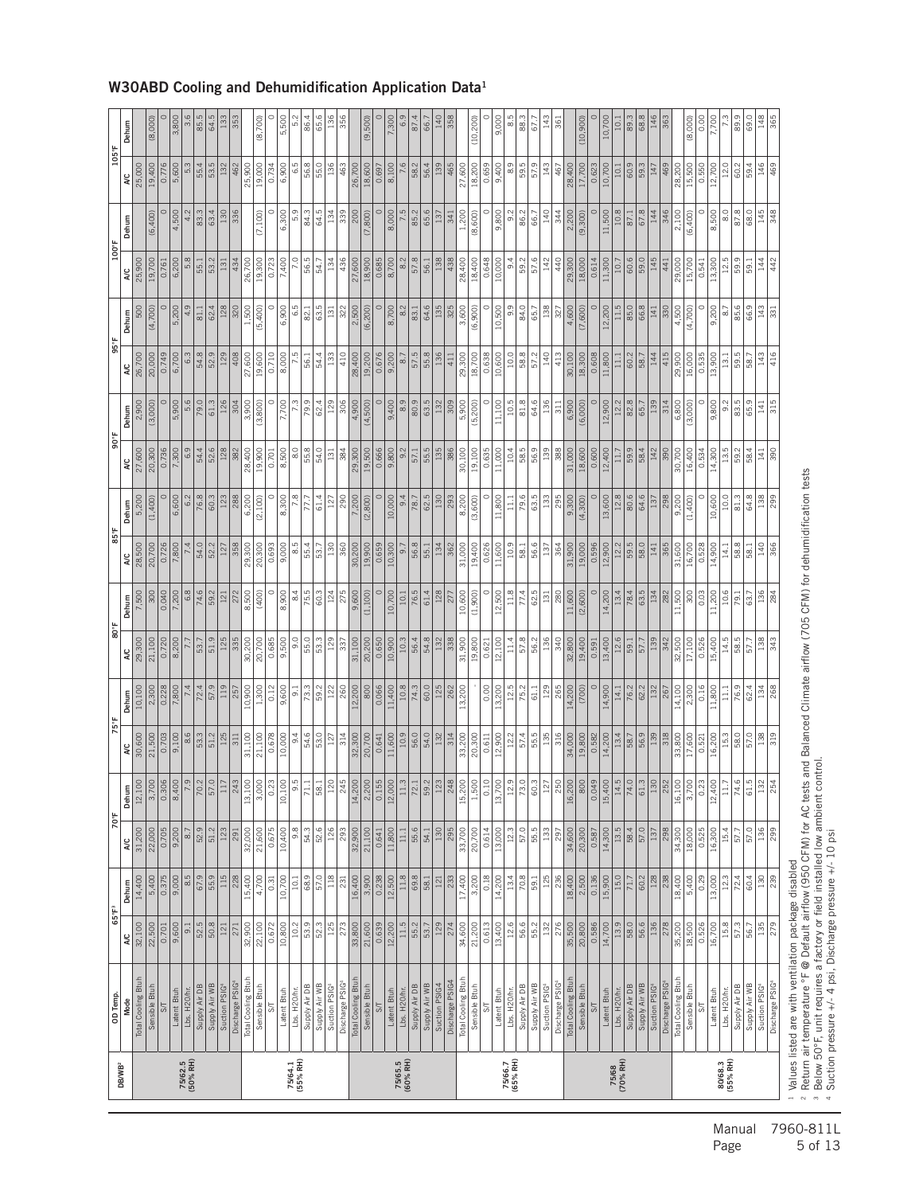| 6,200<br>5.8<br>55.1<br>5,200<br>81.1<br>54.8<br>6,700<br>6.3 | (7,100)<br>53.2<br>26,700<br>0.723<br>7,400<br>56.5<br>134<br>19,300<br>434<br>131<br>54.7<br>1,500<br>6,900<br>6.5<br>62.4<br>128<br>320<br>63.5<br>131<br>(5,400)<br>82.1<br>52.9<br>129<br>408<br>27,600<br>0.710<br>8,000<br>7.5<br>133<br>19,600<br>56.1<br>54.4<br>5,900<br>5.6<br>126<br>79.9<br>79.0<br>61.3<br>3,900<br>7,700<br>129<br>304<br>62.4<br>(3,800)<br>7,300<br>6.9<br>54.4 | (7,800)<br>436<br>18,900<br>8,700<br>8.2<br>57.8<br>138<br>27,600<br>0.685<br>438<br>56.1<br>8,700<br>64.6<br>135<br>322<br>2,500<br>(6, 200)<br>8.2<br>325<br>83.1<br>410<br>19,200<br>0.676<br>57.5<br>55.8<br>136<br>28,400<br>9,200<br>8.7<br>411 | (8,600)<br>28,400<br>18,400<br>10,000<br>9.4<br>59.2<br>57.6<br>142<br>0.648<br>440<br>10,500<br>3,600<br>9.9<br>84.0<br>138<br>(6,900)<br>65.7<br>$\sqrt{327}$<br>10.0<br>18,700<br>10,600<br>58.8<br>140<br>413<br>29,300<br>0.638<br>57.2 | (9,300)<br>11,500<br>145<br>18,000<br>11,300<br>60.6<br>59.0<br>29,300<br>0.614<br>10.7<br>441<br>11.5<br>4,600<br>(7,600)<br>12,200<br>85.0<br>66.8<br>141<br>330                                                                                                                                                                                                                                                                                                                                                                                                                                                                                                                 |
|---------------------------------------------------------------|-------------------------------------------------------------------------------------------------------------------------------------------------------------------------------------------------------------------------------------------------------------------------------------------------------------------------------------------------------------------------------------------------|-------------------------------------------------------------------------------------------------------------------------------------------------------------------------------------------------------------------------------------------------------|----------------------------------------------------------------------------------------------------------------------------------------------------------------------------------------------------------------------------------------------|------------------------------------------------------------------------------------------------------------------------------------------------------------------------------------------------------------------------------------------------------------------------------------------------------------------------------------------------------------------------------------------------------------------------------------------------------------------------------------------------------------------------------------------------------------------------------------------------------------------------------------------------------------------------------------|
|                                                               |                                                                                                                                                                                                                                                                                                                                                                                                 |                                                                                                                                                                                                                                                       |                                                                                                                                                                                                                                              |                                                                                                                                                                                                                                                                                                                                                                                                                                                                                                                                                                                                                                                                                    |
|                                                               |                                                                                                                                                                                                                                                                                                                                                                                                 |                                                                                                                                                                                                                                                       |                                                                                                                                                                                                                                              | 18,300<br>144<br>415<br>30,100<br>0.608<br>11,800<br>11.1<br>60.2<br>58.7                                                                                                                                                                                                                                                                                                                                                                                                                                                                                                                                                                                                          |
| 52.6<br>128                                                   |                                                                                                                                                                                                                                                                                                                                                                                                 | 306<br>4,900<br>(4,500)<br>80.9<br>132<br>309<br>55.8<br>54.0<br>9,800<br>55.5<br>135<br>386<br>$\frac{8}{6}$<br>131<br>384<br>9.2<br>382<br>57.1                                                                                                     | 9,400<br>8.9<br>63.5<br>11,100<br>10.5<br>64.6<br>5,900<br>81.8<br>136<br>(5, 200)<br>$\overline{5}$<br>10.4<br>58.5<br>139<br>56.9<br>388                                                                                                   | (6,000)<br>12.2<br>139<br>6,900<br>12,900<br>82.8<br>65.7<br>314<br>142<br>11.7<br>59.9<br>58.4<br>390                                                                                                                                                                                                                                                                                                                                                                                                                                                                                                                                                                             |
| 60.3<br>288<br>123                                            | c<br>8,300<br>6,200<br>7.8<br>77.7<br>(2,100)<br>61.4<br>127                                                                                                                                                                                                                                                                                                                                    | 28,400<br>8,500<br>19,500<br>19,900<br>0.701<br>29,300<br>0.666<br>10,000<br>62.5<br>290<br>7,200<br>(2,800)<br>9.4<br>130<br>293<br>78.7                                                                                                             | 19,100<br>30,100<br>0.635<br>11,000<br>79.6<br>8,200<br>11,800<br>63.5<br>133<br>(3,600)<br>11.1<br>295                                                                                                                                      | 18,600<br>31,000<br>0.600<br>12,400<br>12.8<br>80.6<br>64.6<br>$\frac{9,300}{ }$<br>(4,300)<br>13,600<br>137<br>298                                                                                                                                                                                                                                                                                                                                                                                                                                                                                                                                                                |
| 52.2<br>59.2                                                  | 29,300<br>8.5<br>358<br>20,300<br>0.693<br>9,000<br>55.4<br>130<br>$\overline{53.7}$<br>75.5<br>124<br>8,500<br>c<br>8,900<br>8.4<br>60.3<br>272<br>(400)                                                                                                                                                                                                                                       | 360<br>19,900<br>10,300<br>56.8<br>30,200<br>0.659<br>134<br>9.7<br>362<br>55.1<br>128<br>275<br>10,700<br>76.5<br>61.4<br>9,600<br>(1,100)<br>10.1<br>277                                                                                            | 19,400<br>10.9<br>31,000<br>0.626<br>11,600<br>56.6<br>58.1<br>137<br>364<br>11.8<br>10,600<br>12,500<br>77.4<br>62.5<br>280<br>(1,900)<br><sup>131</sup>                                                                                    | 12.2<br>19,000<br>59.5<br>58.0<br>141<br>31,900<br>0.596<br>12,900<br>365<br>(2,600)<br>13.4<br>63.5<br>11,600<br>14,200<br>78.4<br>282                                                                                                                                                                                                                                                                                                                                                                                                                                                                                                                                            |
|                                                               | 30,200<br>55.0<br>125<br>335<br>20,700<br>0.685<br>9,500<br>9.0<br>$\overline{53.3}$<br>129                                                                                                                                                                                                                                                                                                     | 20,200<br>54.8<br>31,100<br>0.650<br>10,900<br>10.3<br>56.4<br>132<br>338<br>337                                                                                                                                                                      | 31,900<br>19,800<br>12,100<br>11.4<br>136<br>57.8<br>56.2<br>340<br>0.621                                                                                                                                                                    | 12.6<br>19,400<br>13,400<br>139<br>32,800<br>342<br>0.591<br>57.7<br>59.1                                                                                                                                                                                                                                                                                                                                                                                                                                                                                                                                                                                                          |
| 57.9<br>119<br>$rac{53.3}{51.2}$<br>125                       | 10,900<br>1,300<br>0.12<br>9,600<br>73.3<br>122<br>257<br>59.2<br>5<br>$\frac{54.6}{53.0}$<br>0.678<br>10,000<br>9.4<br>311                                                                                                                                                                                                                                                                     | 800<br>$10.8$<br>260<br>12,200<br>0.066<br>11,400<br>60.0<br>125<br>$\frac{74.3}{ }$<br>262<br>314<br>10.9<br>$\frac{560}{540}$<br>132<br>314<br>$127\,$<br>0.641                                                                                     | 12.5<br>0.00<br>13,200<br>129<br>265<br>13,200<br>75.2<br>61.1<br>55.5<br>12.2<br>57.4<br>316<br>0.611                                                                                                                                       | 14,200<br>(700)<br>14,900<br>132<br>76.2<br>62.2<br>14.1<br>267<br>$\frac{13.4}{58.7}$<br>318<br>0.582                                                                                                                                                                                                                                                                                                                                                                                                                                                                                                                                                                             |
| $\frac{57.0}{5}$<br>$\frac{17}{243}$                          | 3,00C<br>0.23<br>10,100<br>ن<br>ه<br>71.1<br>58.1                                                                                                                                                                                                                                                                                                                                               | $\frac{120}{245}$<br>14,200<br>$\frac{2,200}{0.155}$<br>$\frac{12,000}{2}$<br>11.3<br>$\overline{72.1}$<br>59.2<br>$\frac{12}{248}$                                                                                                                   | 15,200<br>$\frac{1,500}{ }$<br>$\overline{0.10}$<br>13,700<br>12.9<br>$\frac{1}{2}$<br>$rac{60.3}{127}$                                                                                                                                      | 8<br>16,200<br>800<br>0.049<br>15,400<br>14.5<br>$\frac{1}{74.0}$<br>$\frac{61.3}{130}$<br>$\frac{252}{252}$                                                                                                                                                                                                                                                                                                                                                                                                                                                                                                                                                                       |
| 51.2<br>123                                                   | 54.3<br>32,000<br>0.675<br>10,400<br>9.8<br>52.6<br>126<br>21,600<br>291                                                                                                                                                                                                                                                                                                                        | 55.6<br>293<br>21,100<br>130<br>295<br>32,900<br>11,800<br>11.1<br>54.1<br>0.641                                                                                                                                                                      | 57.0<br>33,700<br>20,700<br>0.614<br>13,000<br>12.3<br>55.5<br>133<br>297                                                                                                                                                                    | 13.5<br>20,300<br>58.4<br>57.0<br>137<br>34,600<br>14,300<br>298<br>0.587                                                                                                                                                                                                                                                                                                                                                                                                                                                                                                                                                                                                          |
| $\frac{8}{30.8}$<br>121<br>271                                | 53.9<br>32,900<br>22,100<br>0.672<br>10,800<br>10.2<br>$\frac{52.3}{ }$                                                                                                                                                                                                                                                                                                                         | 125<br>11.5<br>55.2<br>33,800<br>21,600<br>0.639<br>12,200<br>53.7<br>129<br>274                                                                                                                                                                      | 12.6<br>56.6<br>21,200<br>55.2<br>34,600<br>0.613<br>13,400<br>276                                                                                                                                                                           | 20,800<br>13.9<br>58.0<br>56.6<br>136<br>35,500<br>0.586<br>14,700<br>278                                                                                                                                                                                                                                                                                                                                                                                                                                                                                                                                                                                                          |
| Supply Air WB<br>Suction PSIG <sub>4</sub>                    |                                                                                                                                                                                                                                                                                                                                                                                                 |                                                                                                                                                                                                                                                       |                                                                                                                                                                                                                                              | Total Cooling Btuh<br>Total Cooling Btuh<br>Total Cooling Btuh<br>Total Cooling Btuh<br>Discharge PSIG4<br>Discharge PSIG<br>Discharge PSIG4<br>Discharge PSIG<br>Suction PSIG4<br>Sensible Btuh<br>Supply Air DB<br>Supply Air WB<br>Suction PSIG <sup>4</sup><br>Sensible Btuh<br>Supply Air WB<br>Sensible Btuh<br>Supply Air DB<br>Supply Air WB<br>Suction PSIG <sup>4</sup><br>Sensible Btuh<br>Supply Air WB<br>Suction PSIG <sub>4</sub><br>Supply Air DB<br>Supply Air DB<br>Lbs. H <sub>20/hr</sub> .<br>Lbs. H <sub>20/hr</sub> .<br>Lbs. H20/hr.<br>Lbs. H20/hr.<br>Latent Btuh<br>Latent Btuh<br>Latent Btuh<br>Latent Btuh<br>$5\sqrt{ }$<br>$S$ T<br>5<br>$5\sigma$ |
| 127<br>121<br>51.9<br>55.9<br>$\frac{115}{228}$               | 31,100<br>21,100<br>13,100<br>15,400<br>68.9<br>57.0<br>4,700<br>10,700<br>0.31<br>10.1                                                                                                                                                                                                                                                                                                         | 32,300<br>20,700<br>11,600<br>$\frac{118}{231}$<br>3,900<br>12,500<br>11.8<br>16,400<br>0.238<br>69.8<br>233<br>$58.1\,$<br>121                                                                                                                       | 33,200<br>20,300<br>12,900<br>3,200<br>0.18<br>13.4<br>70.8<br>$\frac{1}{2}$<br>17,400<br>14,200<br>236                                                                                                                                      | 34,000<br>14,200<br>60.2<br>2,500<br>15.0<br>18,400<br>0.136<br>15,900<br>238<br>$\overline{71.7}$<br>Discharge PSIG                                                                                                                                                                                                                                                                                                                                                                                                                                                                                                                                                               |

#### W30ABD Cooling and Dehumidification Application Data1

Values listed are with ventilation package disabled

- 72 W H ° Return air temperature °F @ Default airflow (950 CFM) for AC tests and Balanced Climate airflow (705 CFM) for dehumidification tests<br>§ Below 50°F, unit requires a factory or field installed low ambient control.

Suction pressure +/- 4 psi, Discharge pressure +/- 10 psi

Manual 7960-811L<br>Page 5 of 13 5 of 13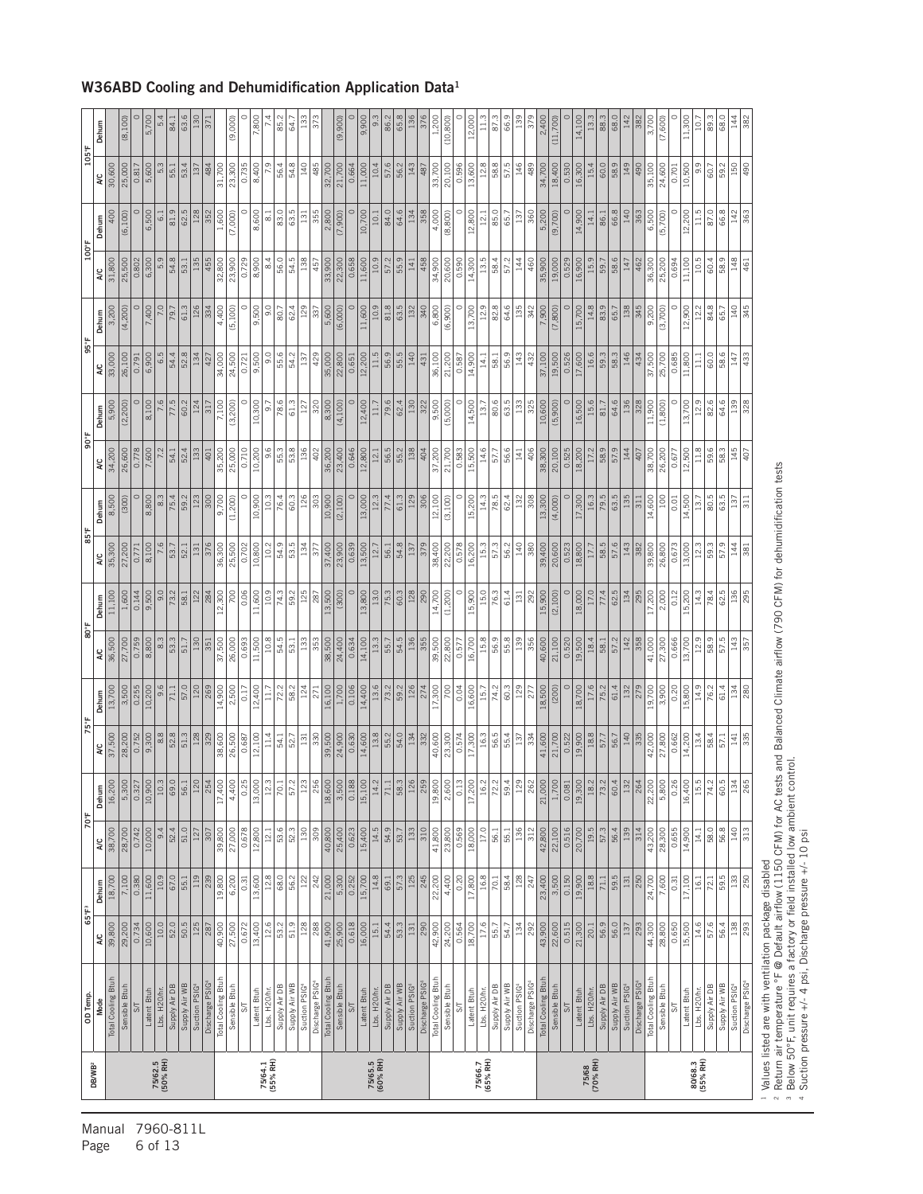| <b>DB/WB<sup>2</sup></b> | OD Temp                        |                  | $65^{\circ}$ F <sup>3</sup> | 70°F            |                                       | 75°F                   |                        | 80°F         |                 | 85°F         |                   | 90°F          |                  | 95°F         |                | 100°F        |                   | 105°F        |                 |
|--------------------------|--------------------------------|------------------|-----------------------------|-----------------|---------------------------------------|------------------------|------------------------|--------------|-----------------|--------------|-------------------|---------------|------------------|--------------|----------------|--------------|-------------------|--------------|-----------------|
|                          | Total Cooling Btuh<br>Mode     | 39,800<br>A/C    | 18,700<br>Dehum             | 38,700<br>2K    | 16,200<br>Dehum                       | 37,500<br>λC           | 13,700<br>Dehum        | 36,500<br>¥  | 11,100<br>Dehum | 35,300<br>λC | 8,500<br>Dehum    | 34,200<br>A/C | 5,900<br>Dehum   | 33,000<br>λC | 3,200<br>Dehum | 31,800<br>¥  | 400<br>Dehum      | 30,600<br>λC | Dehum           |
|                          | Sensible Btuh                  | 29,200           | 7,100                       | 28,700          | $\frac{5,300}{ }$                     | 28,200                 | $\frac{3,500}{ }$      | 27,700       | 1,600           | 27,200       | (300)             | 26,600        | (2, 200)         | 26,100       | (4, 200)       | 25,500       | (6, 100)          | 25,000       | (8,100)         |
|                          | $S\sqrt{ }$                    | 0.734            | 0.380                       | 0.742           |                                       | 0.752                  |                        | 0.759        | 0.144           | 0.771        | $\circ$           | 0.778         |                  | 0.791        |                | 0.802        | $\circ$           | 0.817        |                 |
|                          | Latent Btuh                    | 10,600           | 11,600                      | 10,000          | $\frac{0.327}{10,900}$                | 9,300                  | $\frac{0.255}{10,200}$ | 8,800        | 9,500           | 8,100        | 8,800             | 7,600         | 8,100            | 6,900        | 7,400          | 6,300        | 6,500             | 5,600        | 5,700           |
| 75/62.5<br>(50% RH)      | Lbs. H20/hr.                   | $10.0$           | 10.9                        | 9.4             | $\overline{10.3}$                     | 8.8                    | 9.6                    | 8.3          | 9.0             |              | 8.3               |               | 7.6              | 6.5          |                | 5.9          | 6.1               | 5.3          | ιò,             |
|                          | Supply Air DB                  | 52.0             | 67.0                        | 52.4            | 69.0                                  | 52.8                   | 71.1                   | 53.3         | 73.2            | 53.7         | 75.4              | 54.1          | 77.5             | 54.4         | 79.7           | 54.8         | 81.9              | 55.1         | 84.1            |
|                          | Supply Air WB                  | 50.5             | 55.1                        | 51.0            | $\overline{56.1}$                     | 51.3                   | 57.0                   | 51.7         | 58.1            | 52.1         | 59.2              | 52.4          | 60.2             | 52.8         | 61.3           | 53.1         | 62.5              | 53.4         | 63.6            |
|                          | Suction PSIG4                  | 125              | 119                         | 127             | $\frac{12}{254}$                      | 128                    | 120                    | 130          | 122             | 131          | 123               | 133           | 124              | 134          | 126            | 135          | 128               | 137          | <b>30</b>       |
|                          | Discharge PSIG                 | 287              | 239                         | 307             |                                       |                        | 269                    | 351          | 284             | 376          | 300               | 401           | 317              | 427          | 334            | 455          | 352               | 484          | 37              |
|                          | Total Cooling Btuh             | 40,900           | 19,800                      | 39,800          | 17,40C                                | 38,600                 | 14,900                 | 37,500       | 12,300          | 36,300       | 9,700             | 35,200        | 7,100            | 34,000       | 4,400          | 32,800       | 1,600             | 31,700       |                 |
|                          | Sensible Btuh                  | 27,500           | 6,200                       | 27,000          | 4,400                                 | 26,500                 | 2,500                  | 26,000       | 700             | 25,500       | (1, 200)          | 25,000        | (3, 200)         | 24,500       | (5, 100)       | 23,900       | (7,000)           | 23,300       | (9,000)         |
|                          | $S/\overline{T}$               | 0.672            | 0.31                        | 0.678           | 0.25                                  | 0.687                  | 0.17                   | 0.693        | 0.06            | 0.702        | $\circ$           | 0.710         | $\circ$          | 0.721        | $\circ$        | 0.729        | $\circ$           | 0.735        |                 |
|                          | Latent Btuh                    | 13,400           | 13,600                      | 12,800          | 13,000                                | 12,100                 | 12,400                 | 11,500       | 11,600          | 10,800       | 10,900            | 10,200        | 10,300           | 9,500        | 9,500          | 8,900        | 8,600             | 8,400        | 7,800           |
| 75/64.1<br>(55% RH)      | Lbs. H20/hr.                   | 12.6             | 12.8                        | 12.1            | 12.3                                  | 11.4                   | 11.7                   | 10.8         | 10.9            | 10.2         | 10.3              | 9.6           | $\overline{9.7}$ | 9.0          | 9.0            | 8.4          | $\overline{8}$    | 7.9          |                 |
|                          | Supply Air DB                  | 53.2             | 68.0                        | 53.6            | $\overline{5}$                        | 54.1                   | 72.2                   | 54.5         | 74.3            | 54.9         | 76.4              | 55.3          | 78.6             | 55.6         | 80.7           | 56.0         | 83.0              | 56.4         | $\frac{1}{85}$  |
|                          | Supply Air WB                  | 51.9             | 56.2                        | 52.3            | 57.2                                  | 52.7                   | 58.2                   | 53.1         | 59.2            | 53.5         | 60.3              | 53.8          | 61.3             | 54.2         | 62.4           | 54.5         | 63.5              | 54.8         | 64.             |
|                          | Suction PSIG <sup>4</sup>      | 128              | 122                         | 130             | 123                                   | 131                    | 124                    | 133          | 125             | 134          | 126               | 136           | 127              | 137          | 129            | 138          | 131               | 140          | $\frac{33}{13}$ |
|                          | Discharge PSIG                 | 288              | 242                         | 309             | 25                                    | 330                    | 271                    | 353          | 287             | 377          | 303               | 402           | 320              | 429          | 337            | 457          | 355               | 485          |                 |
|                          | Total Cooling Btuh             | 41,900<br>25,900 | $\frac{21,000}{5,300}$      | 40,800          | $\frac{18,600}{3,500}$                | 39,500<br>24,900       | 16,100                 | 38,500       | 13,500          | 37,400       | 10,900            | 36,200        | 8,300            | 35,000       | 5,600          | 33,900       | 2,800             | 32,700       |                 |
|                          | Sensible Btuh                  |                  |                             | 25,400          |                                       |                        | 1,700                  | 24,400       | (300)           | 23,900       | (2,100)           |               | (4, 100)         |              | (6,000)        | 22,300       | (7,900)           | 21,700       | (9,900)         |
|                          | $\frac{2}{3}$                  | 0.618            | 0.252                       | 0.623           | $\frac{88}{180}$                      | 0.630                  | 0.106                  | 0.634        |                 | 0.639        |                   | 0.646         |                  | 0.651        |                | 0.658        |                   | 0.664        |                 |
|                          | Latent Btuh                    | 16,000           | 15,700                      | 15,400          | 15,100                                | 14,600                 | 14,400                 | 14,100       | 13,800          | 13,500       | 13,000            | 12,800        | 12,400           | 12,200       | 11,600         | 11,600       | 10,700            | 11,000       | 9,900           |
| 75/65.5<br>(60% RH)      | Lbs. H <sub>20/hr</sub> .      | 15.1             | 14.8                        | 14.5            | 14.2                                  | 13.8                   | 13.6                   | 13.3         | 13.0            | 12.7         | 12.3              | 12.1          | 11.7             | 11.5         | 10.9           | 10.9         | 10.1              | 10.4         | ິ<br>ອ          |
|                          | Supply Air DB                  | 54.4             | 69.1                        | 54.9            | 71.1                                  | 55.2                   | 73.2                   | 55.7         | 75.3            | 56.1         | 77.4              | 56.5          | 79.6             | 56.9         | $81.8$         | 57.2         | 84.0              | 57.6         | 86.             |
|                          | Supply Air WB                  | 53.3             | 57.3                        | 53.7            | $rac{58.3}{126}$                      | 54.0                   | 59.2                   | 54.5         | 60.3            | 54.8         | 61.3              | 55.2          | 62.4             | 55.5         | 63.5           | 55.9         | 64.6              | 56.2         | 65.8            |
|                          | Suction PSIG4                  | 131              | 125                         | 133             |                                       | 134                    | 126                    | 136          | 128             | 137          | 129               | 138           | 130              | 140          | 132            | 141          | 134               | 143          | 136             |
|                          | Discharge PSIG                 | 290              | 245                         | 310             | $\frac{55}{55}$                       | 332                    | 274                    | 355          | 290             | 379          | 306               | 404           | 322              | 431          | 340            | 458          | 358               | 487          | 376             |
|                          | Total Cooling Btuh             | 42,900           | 22,200                      | 41,800          | 19,800                                | 40,600                 | 17,300                 | 39,500       | 14,700          | 38,400       | 12,100            | 37,200        | 9,500            | 36,100       | 6,800          | 34,900       | 4,000             | 33,700       | 1.200           |
|                          | Sensible Btuh                  | 24,200           | 4,400                       | 23,800          | $\frac{2,600}{2}$                     | 23,300                 | $\frac{1}{20}$         | 22,800       | (1,200)         | 22,200       | (3, 100)          | 21,700        | (5,000)          | 21,200       | (6,900)        | 20,600       | (8,800)           | 20,100       | (10, 800)       |
|                          | $5\frac{1}{2}$                 | 0.564            | 0.20                        | 0.569           | $rac{12}{5}$                          | 0.574                  | 0.04                   | 0.577        | $\circ$         | 0.578        | $\circ$           | 0.583         | $\circ$          | 0.587        | $\circ$        | 0.590        | $\circ$           | 0.596        |                 |
|                          | Latent Btuh                    | 18,700           | 17,800                      | 18,000          | 17,200                                | 17,300                 | 16,600                 | 16,700       | 15,900          | 16,200       | 15,200            | 15,500        | 14,500           | 14,900       | 13,700         | 14,300       | 12,800            | 13,600       | 12,000          |
| 75/66.7<br>(65% RH)      | Lbs. H20/hr.                   | 17.6             | $16.8$                      | 17.0            | 16.2                                  | 16.3                   | $15.7\,$               | 15.8         | 15.0            | 15.3         | 14.3              | 14.6          | 13.7             | 14.1         | 12.9           | 13.5         | $12.1$            | 12.8         |                 |
|                          | Supply Air DB                  | 55.7             | 70.1                        | 56.1            | 72.2                                  | 56.5                   | 74.2                   | 56.9         | 76.3            | 57.3         | 78.5              | 57.7          | 80.6             | 58.1         | 82.8           | 58.4         | 85.0              | 58.8         | $\overline{87}$ |
|                          | Supply Air WB                  | 54.7             | 58.4                        | 55.1            | 59.4                                  | 55.4                   | 60.3                   | 55.8         | 61.4            | 56.2         | 62.4              | 56.6          | 63.5             | 56.9         | 64.6           | 57.2         | 65.7              | 57.5         | 66.9            |
|                          | Suction PSIG4                  | 134              | 128                         | 136             | $\frac{25}{2}$                        | 137                    | 129                    | 139          | 131             | 140          | 132               | 141           | 133              | 143          | 135            | 144          | 137               | 146          |                 |
|                          | Discharge PSIG                 | 292              | 247                         | 312             | 262                                   | 334                    | 277                    | 356          | 292             | 380          | 308               | 406           | 325              | 432          | 342            | 460          | 360               | 489          | 379             |
|                          | Total Cooling Btuh             | 43,900           | 23,400                      | 42,800          | 21,000                                | 41,600                 | 18,500                 | 40,600       | 15,900          | 39,400       | 13,300            | 38,300        | 10,600           | 37,100       | 7,900          | 35,900       | $\frac{6,200}{ }$ | 34,700       | 2,400           |
|                          | Sensible Btuh                  | 22,600           | 3,500                       | 22,100          | 1,700                                 | 21,700                 | (200)                  | 21,100       | (2,100)         | 20,600       | (4,000)           | 20,100        | (5,900)          | 19,500       | (7, 800)       | 19,000       | (9,700)           | 18,400       | (11, 700)       |
|                          | $S/\Gamma$                     | 0.515            | 0.150                       | 0.516<br>20,700 | 0.081<br>19,300                       | 0.522                  | $\circ$                | 0.520        |                 | 0.523        | $\circ$<br>17,300 | 0.525         |                  | 0.526        | $\subset$      | 0.529        | $\subset$         | 0.530        |                 |
|                          | Latent Btuh                    | 21,300           | 19,900                      |                 |                                       | 19,900                 | 18,700                 | 19,500       | 18,000          | 18,800       |                   | 18,200        | 16,500           | 17,600       | 15,700         | 16,900       | 14,900            | 16,300       | 14,100          |
| 75/68<br>(70% RH)        | Lbs. H20/hr                    | 56.9<br>$20.1\,$ | $18.8\,$<br>71.1            | 57.3<br>19.5    | $\frac{18.2}{ }$<br>$\overline{73.2}$ | $\boxed{18.8}$<br>57.7 | 17.6                   | 18.4         | 77.4<br>17.0    | 17.7         | 79.5<br>16.3      | 58.9<br>17.2  | 15.6<br>81.7     | 59.3<br>16.6 | 83.9<br>14.8   | 15.9<br>59.7 | 14.1              | 15.4         |                 |
|                          | Supply Air DB<br>Supply Air WB | 56.0             | 59.5                        | 56.4            | 60.4                                  | 56.7                   | 75.2<br>61.4           | 58.1<br>57.2 | 62.5            | 58.5<br>57.6 | 63.5              | 57.9          | 64.6             | 58.3         | 65.7           | 58.6         | 66.8<br>86.1      | 60.0<br>58.9 | 88.3            |
|                          | Suction PSIG <sup>4</sup>      | 137              | $\frac{131}{2}$             | 139             | 132                                   | 140                    | 132                    | 142          | 134             | 143          | 135               | 144           | 136              | 146          | 138            | 147          | 140               | 149          |                 |
|                          | Discharge PSIG                 | 293              | 250                         | 314             | 264                                   | 335                    | 279                    | 358          | 295             | 382          | 311               | 407           | 328              | 434          | 345            | 462          | 363               | 490          | 382             |
|                          | Total Cooling Btuh             | 44,300           | 24,700                      | 43,200          | 22,200                                | 42,000                 | 19,700                 | 41,000       | 17,200          | 39,800       | 14,600            | 38,700        | 11,900           | 37,500       | 9,200          | 36,300       | 6,500             | 35,100       | 3,700           |
|                          | Sensible Btuh                  | 28,800           | 7,600                       | 28,300          | 5,800                                 | 27,800                 | 3,900                  | 27,300       | 2,000           | 26,800       | 100               | 26,200        | (1,800)          | 25,700       | (3,700)        | 25,200       | (5,700)           | 24,600       | (7,600)         |
|                          | 5                              | 0.650            | 0.31                        | 0.655           | 0.26                                  | 0.662                  | 0.20                   | 0.666        | 0.12            | 0.673        | 0.01              | 0.677         |                  | 0.685        |                | 0.694        | $\circ$           | 0.701        |                 |
|                          | Latent Btuh                    | 15,500           | 17,100                      | 14,900          | 16,400                                | 14,200                 | 15,800                 | 13,700       | 15,200          | 13,000       | 14,500            | 12,500        | 13,700           | 11,800       | 12,900         | 11,100       | 12,200            | 10,500       | 11,300          |
| 80/68.3<br>(55% RH)      | Lbs. H20/hr.                   | 14.6             | 16.1                        | 14.1            | 15.5                                  | 13.4                   | 14.9                   | 12.9         | 14.3            | 12.3         | 13.7              | 11.8          | 12.9             | $\Xi$        | 12.2           | 10.5         | 11.5              | 9.9          | $\Xi$           |
|                          | Supply Air DB                  | 57.6             | 72.1                        | 58.0            | 74.2                                  | 58.4                   | 76.2                   | 58.9         | 78.4            | 59.3         | 80.5              | 59.6          | 82.6             | 60.0         | 84.8           | 60.4         | 87.0              | 60.7         | 89.3            |
|                          | Supply Air WB                  | 56.4             | 59.5                        | 56.8            | 60.5                                  | 57.1                   | 61.4                   | 57.5         | 62.5            | 57.9         | 63.5              | 58.3          | 64.6             | 58.6         | 65.7           | 58.9         | 66.8              | 59.2         | 68.0            |
|                          | Suction PSIG <sup>4</sup>      | 138              | 133                         | 140             | 13 <sup>2</sup>                       | 141                    | 134                    | 143          | 136             | 144          | 137               | 145           | 139              | 147          | 140            | 148          | 142               | 150          | 144             |
|                          | Discharge PSIG4                | 293              | 250                         | 313             | 265                                   |                        | 280                    |              | 295             |              |                   | 407           |                  | 433          |                |              | 363               |              | 382             |

W36ABD Cooling and Dehumidification Application Data1

Values listed are with ventilation package disabled

- 72 W H

<sup>2</sup> Return air temperature °F @ Default airflow (1150 CFM) for AC tests and Balanced Climate airflow (790 CFM) for dehumidification tests<br>3 Below 50°F, unit requires a factory or field installed low ambient control.

Suction pressure +/- 4 psi, Discharge pressure +/- 10 psi

Manual 7960-811L<br>Page 6 of 13 6 of 13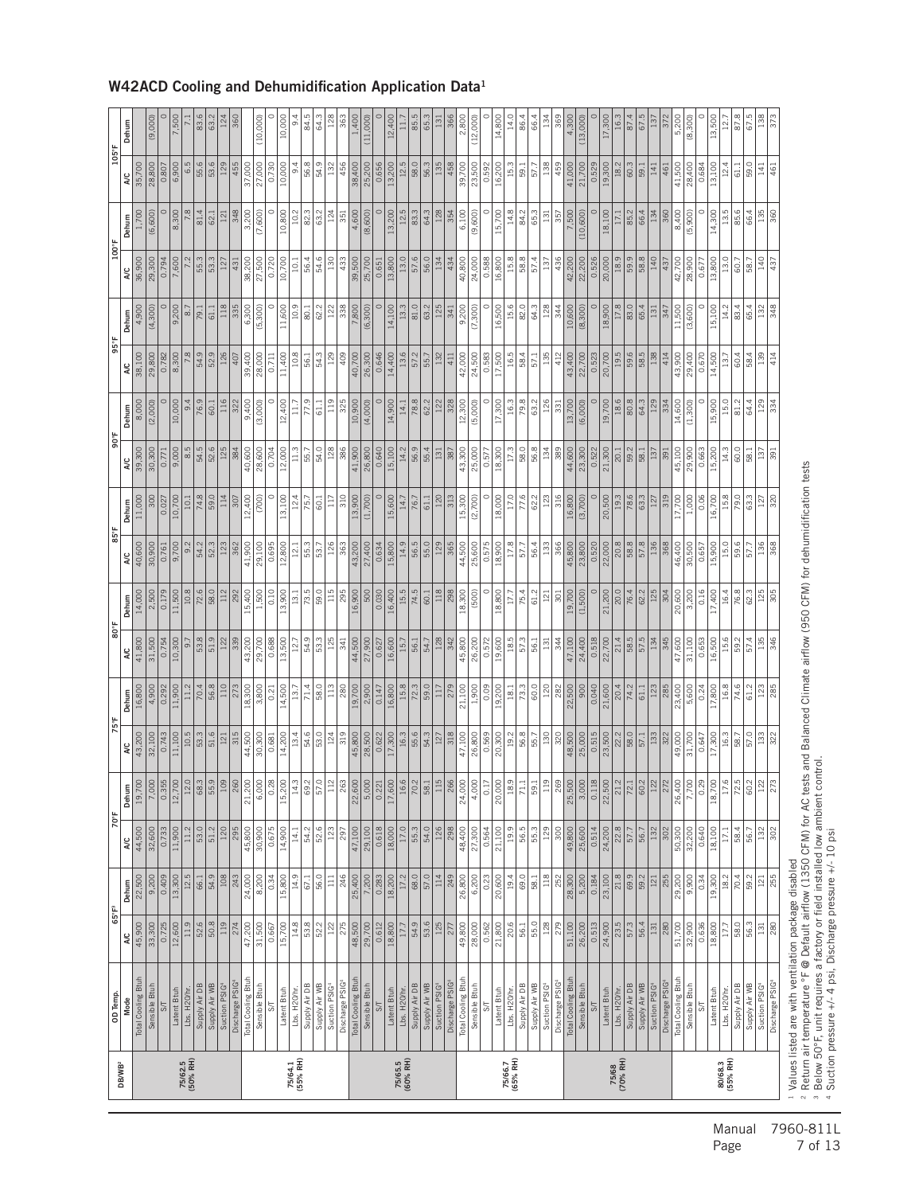| OD Temp.                               | 65°F <sup>3</sup><br>A/C |                                        | 70°F                 |                            | 75°F                 |                    | 80°F                 | Dehum            | 85°F                       |                 | 90°F                | Dehum         | 95°F           |                  | 100°F                |                | $105^{\circ}$ F<br>A/C |               |
|----------------------------------------|--------------------------|----------------------------------------|----------------------|----------------------------|----------------------|--------------------|----------------------|------------------|----------------------------|-----------------|---------------------|---------------|----------------|------------------|----------------------|----------------|------------------------|---------------|
| Total Cooling Btuh<br>Mode             | 45,900                   | 22,500<br>Dehum                        | 44,500<br><b>A</b> C | Dehum<br>19,700            | 43,200<br><b>A/C</b> | 16,800<br>Dehum    | 41,800<br><b>A/C</b> | 14,000           | 40,600<br><b>A/C</b>       | 11,000<br>Dehum | 39,300<br><b>AC</b> | 8,000         | 38,100<br>A/C  | 4,900<br>Dehum   | 36,900<br><b>A/C</b> | 1,700<br>Dehum | 35,700                 | Dehum         |
| Sensible Btuh                          | 33,300                   | 9,200                                  | 32,600               | 7,00                       | 32,100               | 4,900              | 31,500               | 2,500            | 30,900                     | 300             | 30,300              | (2,000)       | 29,800         | (4,300)          | 29,300               | (6,600)        | 28,800                 | (9,000)       |
| S/T                                    | 0.725                    | 0.409                                  | 0.733                | 0.35                       | 0.743                | 0.292              | 0.754                | 0.179            | 0.761                      | 0.027           | 0.771               |               | 0.782          |                  | 0.794                |                | 0.807                  |               |
| Latent Btuh                            | 12,600                   | 13,300                                 | 11,900               | 12,700                     | 11,100               | $\frac{11,900}{2}$ | 10,300               | 11,500           | 9,700                      | 10,700          | 9,000               | 10,000        | 8,300          | 9,200            | 7,600                | 8,300          | 6,900                  | 7,500         |
| Lbs. H20/hr.                           | 11.9                     | 12.5                                   | 11.2                 | 12.0                       | 10.5                 | 11.2               | 9.7                  | $10.8$           | 9.2                        | 10.1            | 8.5                 | 9.4           | 7.8            | $\overline{8.7}$ |                      | 7.8            | 6.5                    |               |
| Supply Air WB<br>Supply Air DB         | 52.6<br>$\frac{8}{30.8}$ | 54.9<br>66.1                           | 53.0<br>51.2         | 8.3                        | 51.6<br>53.3         | 56.8<br>70.4       | 53.8<br>51.9         | 72.6<br>58.0     | 54.2<br>52.3               | 74.8<br>59.0    | 54.5<br>52.6        | 76.9<br>60.1  | 54.9<br>52.9   | 79.1<br>61.1     | 55.3<br>53.3         | 81.4<br>62.1   | 55.6<br>53.6           | 83.6<br>63.2  |
| Suction PSIG4                          | $\frac{1}{1}$            | $\frac{8}{108}$                        | 120                  | ∣≊                         | 121                  |                    | 122                  | 112              | 123                        | 114             | 125                 | 116           | 126            | 118              | 127                  | 121            | 129                    |               |
| Discharge PSIG                         | 274                      | 243                                    | 295                  | $\overline{26}$            | 315                  | 273                | 339                  | 292              | 362                        | 307             | 384                 | 322           | 407            | 335              | 431                  | 348            | 455                    | 360           |
| Total Cooling Btuh                     | 47,200                   | 24,000                                 | 45,800               | 21,200                     | 44,500               | 18,300             | 43,200               | 15,400           | 41,900                     | 12,400          | 40,600              | 9,400         | 39,400         | 6,300            | 38,200               | 3,200          | 37,000                 |               |
| Sensible Btuh                          | 31,500                   | 8,200                                  | 30,900               | 6,00                       | 30,300               | 3,800              | 29,700               | 1,500            | 29,100                     | (700)           | 28,600              | (3,000)       | 28,000         | (5, 300)         | 27,500               | (7,600)        | 27,000                 | (10,000)      |
| $\overline{\mathsf{S}}$                | 0.667                    | 0.34                                   | 0.675                | $\frac{2}{3}$              | 0.681                | 0.21               | 0.688                | 0.10             | 0.695                      |                 | 0.704               |               | 0.711          |                  | 0.720                |                | 0.730                  |               |
| Latent Btuh                            | 15,700                   | 15,800                                 | 14,900               | 15,200                     | 14,200               | 14,500             | 13,500               | 13,900           | 12,800                     | 13,100          | 12,000              | 12,400        | 11,400         | 11,600           | 10,700               | 10,800         | 10,000                 | 10,000        |
| Lbs. H20/hr.                           | 14.8                     | 14.9                                   | 14.1                 | 14.                        | 13.4                 | 13.7               | 12.7                 | 13.1             | 12.1                       | 12.4            | 11.3                | 11.7          | 10.8           | 10.9             | 10.1                 | 10.2           | 9.4                    | d<br>α        |
| Supply Air DB                          | 53.8                     | 67.1                                   | 54.2                 | 69.                        | 54.6                 | 71.4               | 54.9                 | 73.5             | 55.3                       | 75.7            | 55.7                | 77.9          | 56.1           | 80.1             | 56.4                 | 82.3           | 56.8                   | 84.5          |
| Supply Air WB                          | 52.2                     | 56.0                                   | 52.6                 | 57.0                       | 53.0                 | 58.0               | 53.3                 | 59.0             | 53.7                       | 60.1            | 54.0                | $\frac{1}{6}$ | 54.3           | 62.2             | 54.6                 | 63.2           | 54.9                   | 64.3          |
| Suction PSIG                           | 122                      | $\frac{111}{11}$                       | 123                  | $\Xi$                      | 124                  | 113                | 125                  | 115              | 126                        | 117             | 128                 | 119           | 129            | 122              | 130                  | 124            | 132                    |               |
| Discharge PSIG                         | 275                      | 246                                    | 297                  | $\overline{26}$            | 319                  | 280                | 341                  | 295              | 363                        | 310             | 386                 | 325           | 409            | 338              | 433                  | 351            | 456                    | 363           |
| Total Cooling Btuh                     | 48,500                   | 25,400                                 | 47,100               | 22,600                     | 45,800               | 19,700             | 44,500               | 16,900           | 43,200                     | 13,900          | 41,900              | 10,900        | 40,700         | 7,800            | 39,500               | 4,600          | 38,400                 | 1,400         |
| Sensible Btuh                          | 29,700                   | 7,200                                  | 29,100               | 5,000                      | 28,500               | 2,900              | 27,900               | 500              | 27,400                     | (1,700)         | 26,800              | (4,000)       | 26,300         | (6, 300)         | 25,70C               | (8,600)        | 25,200                 | (11,000)      |
| $S$ T                                  | 0.612                    | 0.283                                  | 0.618                | 0.22                       | 0.622                | 0.147              | 0.627                | 0.030            | 0.634                      |                 | 0.640               |               | 0.646          |                  | 0.651                |                | 0.656                  |               |
| Latent Btuh                            | 18,800                   | $\frac{18,200}{17.2}$                  | 18,000               | 17,600                     | 17,300               | 16,800             | 16,600               | 16,400           | 15,800                     | 15,600          | 15,100              | 14,900        | 14,400         | 14,100           | 13,800               | 13,200         | 13,200                 | 12,400        |
| Lbs. H20/hr.                           | 17.7                     |                                        | 17.0                 |                            | 16.3                 | 15.8               | 15.7                 | 15.5             | 14.9                       | 14.7            | 14.2                | 14.1          | 13.6           | 13.3             | 13.0                 | 12.5           | 12.5                   |               |
| Supply Air DB                          | 54.9                     | 68.0                                   | 55.3                 | 70.7                       | 55.6                 | 72.3               | 56.1                 | 74.5             | 56.5                       | 76.7            | 56.9                | 78.8          | 57.2           | 81.0             | 57.6                 | 83.3           | 58.0                   | 85.           |
| Supply Air WB                          | 53.6                     | 57.0                                   | 54.0                 |                            | 54.3                 | 59.0               | 54.7                 | 60.1             | 55.0                       | 61.1            | 55.4                | 62.2          | 55.7           | 63.2             | 56.0                 | 64.3           | 56.3                   | 65.3          |
| Suction PSIG4                          | 125                      | 114                                    | 126                  | Ë                          | 127                  | 117                | 128                  | 118              | 129                        | 120             | 131                 | 122           | 132            | 125              | 134                  | 128            | 135                    | 131           |
| Discharge PSIG                         | 277                      | 249                                    | 298                  | $\frac{8}{6}$              | 318                  | 279                | 342                  | 298              | 365                        | 313             | 387                 | 328           | 411            | 341              | 434                  | 354            | 458                    |               |
| Total Cooling Btuh                     | 49,800                   | 26,800                                 | 48,400               | 24,000                     | 47,100<br>26,800     | 21,100             | 45,800               | 18,300           | 44,500                     | 15,300          | 43,300              | 12,300        | 42,000         | 9,200            | 40,800               | 6,100          | 39,700                 | 2,800         |
| Sensible Btuh                          | 28,000                   | 6,200                                  | 27,300               | $\frac{4,000}{ }$          |                      | 1.900              | 26,200               | (500)            | 25,600                     | (2,700)         | 25,000              | (5,000)       | 24,500         | (7,300)          | 24,000               | (9,600)        | 23,500                 | (12,000)      |
| $S\sqrt{}$                             | 0.562                    | 0.23                                   | 0.564                | $\overline{0}$ .           | 0.569                | 0.09               | 0.572                |                  | 0.575                      |                 | 0.577               |               | 0.583          |                  | 0.588                |                | 0.592                  |               |
| Latent Btuh                            | 21,800                   | 20,600                                 | 21,100               | 20,000                     | 20,300               | 19,200             | 19,600               | 18,800           | 18,900                     | 18,000          | 18,300              | 17,300        | 17,500         | 16,500           | 16,800               | 15,700         | 16,200                 | 14,800        |
| Lbs. H20/hr.                           | 20.6                     | 19.4                                   | 19.9                 | 18.                        | 19.2                 | 18.1               | 18.5                 | 17.7             | 17.8                       | 17.0            | 17.3                | 16.3          | 16.5           | 15.6             | 15.8                 | 14.8           | 15.3                   | 14.0          |
| Supply Air DB                          | 56.1                     | 69.0                                   | 56.5                 | $\mathcal{L}$              | 56.8                 | 73.3               | 57.3                 | 75.4             | 57.7                       | 77.6            | 58.0                | 79.8          | 58.4           | 82.0             | 58.8                 | 84.2           | 59.1                   | 86.4          |
| Supply Air WB                          | 55.0                     | 58.1                                   | 55.3                 | $\overline{59}$            | 55.7                 | 60.0               | 56.1                 | 61.2             | 56.4                       | 62.2            | 56.8                | 63.2          | 57.1           | 64.3             | 57.4                 | 65.3           | 57.7                   | 66.4          |
| Suction PSIG <sup>4</sup>              | 28                       | $\frac{18}{118}$                       | $\frac{129}{2}$      | Ĕ                          | $\frac{8}{130}$      | 120                | $\frac{131}{2}$      | $\overline{121}$ | <b>133</b>                 | 123             | 134                 | 126           | 135            | 128              | $\sqrt{37}$          | $131\,$        | 138                    |               |
| Discharge PSIG                         | 279                      | 252                                    | 300                  | $rac{6}{2}$                | 320                  | 282                | 344                  | $301\,$          | 366                        | 316             | 389                 | 331           | 412            | 344              | 436                  | 357            | 459                    | 369           |
| Total Cooling Btuh                     | 51,100                   | 28,300                                 | 49,800               | $\frac{25,500}{3,000}$     | 48,500               | 22,500             | 47,100               | 19,700           | 45,800                     | 16,800          | 44,600              | 13,700        | 43,400         | 10,600           | 42,200               | 7,500          | 41,000                 | 4,300         |
| Sensible Btuh                          | 26,200                   | 5,200                                  | 25,600               |                            | 25,000               | $\frac{8}{2}$      | 24,400               | (1,500)          | 23,800                     | (3,700)         | 23,300              | (6,000)       | 22,700         | (8,300)          | 22,200               | (10, 600)      | 21,700                 | (13,000)      |
| $S\Gamma$                              | 0.513                    | 0.184                                  | 0.514                | 0.11                       | 0.515                | 0.040              | 0.518                |                  | 0.520                      |                 | 0.522               |               | 0.523          |                  | 0.526                |                | 0.529                  |               |
| Lbs. H <sub>20/hr</sub><br>Latent Btuh | 24,900                   | $\overline{\phantom{a}21.8}$<br>23,100 | 22.8<br>24,200       | 22,500                     | 23,500               | 21,600<br>20.4     | 22,700               | 21,200<br>20.0   | $\frac{8}{20.8}$<br>22,000 | 20,500          | 21,300              | 19,700        | 20,700<br>19.5 | 18,900           | 18.9<br>20,000       | 18,100         | 19,300                 | 17,300        |
| Supply Air DB                          | 23.5<br>$\frac{57.3}{ }$ | $\frac{9}{69}$                         | 57.7                 | 21.2<br>$\overline{2}$     | 22.2<br>58.0         | 74.2               | 58.5<br>21.4         | 76.4             | <b>88</b>                  | 19.3<br>78.6    | 59.2<br>20.1        | 18.6<br>80.8  | 59.6           | 17.8<br>83.0     | 59.9                 | 85.2<br>17.1   | 18.2<br>60.3           | 16.3<br>87.4  |
|                                        | 56.4                     | 59.2                                   | 56.7                 | 60.                        | 57.1                 | 61.1               | 57.5                 | 62.2             | 57.8                       | 63.3            | 58.1                | 64.3          | 58.5           | 65.4             | 58.8                 | 66.4           | 59.1                   | 67.5          |
| Supply Air WB<br>Suction PSIG          | $\frac{131}{2}$          |                                        | 132                  | $ \ddot{v} $               | 133                  | 123                | 134                  | 125              | 136                        | 127             | 137                 | 129           | 138            | 131              | 140                  | 134            | 141                    |               |
| Discharge PSIG                         | 280                      | $\frac{121}{255}$                      | 302                  | $\overline{\widetilde{z}}$ | 322                  | 285                | 345                  | 304              | 368                        | 319             | 391                 | 334           | 414            | 347              | 437                  | 360            | 461                    | 372           |
| Total Cooling Btuh                     | 51,700                   | 29,200                                 | 50,300               | 26,40                      | 49,000               | 23,400             | 47,600               | 20,600           | 46,400                     | 17,700          | 45,100              | 14,600        | 43,900         | 11,500           | 42,700               | 8,400          | 41,500                 | 5,200         |
| Sensible Btuh                          | 32,900                   | 9,900                                  | 32,200               | 7,70                       | 31,700               | 5,600              | 31,100               | 3,200            | 30,500                     | 1,000           | 29,900              | (1,300)       | 29,400         | (3,600)          | 28,900               | (5,900)        | 28,400                 | (8,300)       |
| $\overline{\mathcal{S}}$               | 0.636                    | 0.34                                   | 0.640                | $\frac{5}{2}$              | 0.647                | 0.24               | 0.653                | 0.16             | 0.657                      | 0.06            | 0.663               |               | 0.670          |                  | 0.677                | c              | 0.684                  |               |
| Latent Btuh                            | 18,800                   | 19,300                                 | 18,100               | 18,70                      | 17,300               | 17,800             | 16,500               | 17,400           | 15,900                     | 16,700          | 15,200              | 15,900        | 14,500         | 15,100           | 13,800               | 14,300         | 13,100                 | 13,500        |
| Lbs. H20/hr.                           | 17.7                     | $18.2$                                 | 17.1                 | $\overline{17}$            | 16.3                 | 16.8               | 15.6                 | 16.4             | 15.0                       | 15.8            | 14.3                | 15.0          | 13.7           | 14.2             | 13.0                 | 13.5           | 12.4                   | $\frac{2}{1}$ |
| Supply Air DB                          | 58.0                     | 70.4                                   | 58.4                 | 72.                        | 58.7                 | 74.6               | 59.2                 | 76.8             | 59.6                       | 79.0            | 60.0                | 81.2          | 60.4           | 83.4             | 60.7                 | 85.6           | 61.1                   | 87.8          |
| Supply Air WB                          | 56.3                     | 59.2                                   | 56.7                 | 60                         | 57.0                 | 61.2               | 57.4                 | 62.3             | 57.7                       | 63.3            | 58.1                | 64.4          | 58.4           | 65.4             | 58.7                 | 66.4           | 59.0                   | 67.5          |
| Suction PSIG4                          | 131                      | 121                                    | 132                  | $\approx$                  | 133                  |                    | 135                  | 125              | 136                        | 127             | 137                 | 129           | 139            | 132              | 140                  | 135            | 141                    | 138           |
| Discharge PSIG4                        | 280                      | 255                                    | 302                  | 27.                        | 322                  | 285                | 346                  | 305              | 368                        | 320             | 391                 | 334           | 414            | 348              | 437                  | 360            | 461                    | 373           |
|                                        |                          |                                        |                      |                            |                      |                    |                      |                  |                            |                 |                     |               |                |                  |                      |                |                        |               |

#### W42ACD Cooling and Dehumidification Application Data1

Manual 7960-811L<br>Page 7 of 13 7 of 13

Values listed are with ventilation package disabled

Suction pressure +/- 4 psi, Discharge pressure +/- 10 psi

<sup>2</sup> Return air temperature °F @ Default airflow (1350 CFM) for AC tests and Balanced Climate airflow (950 CFM) for dehumidification tests<br>3 Below 50°F, unit requires a factory or field installed low ambient control.

- 2012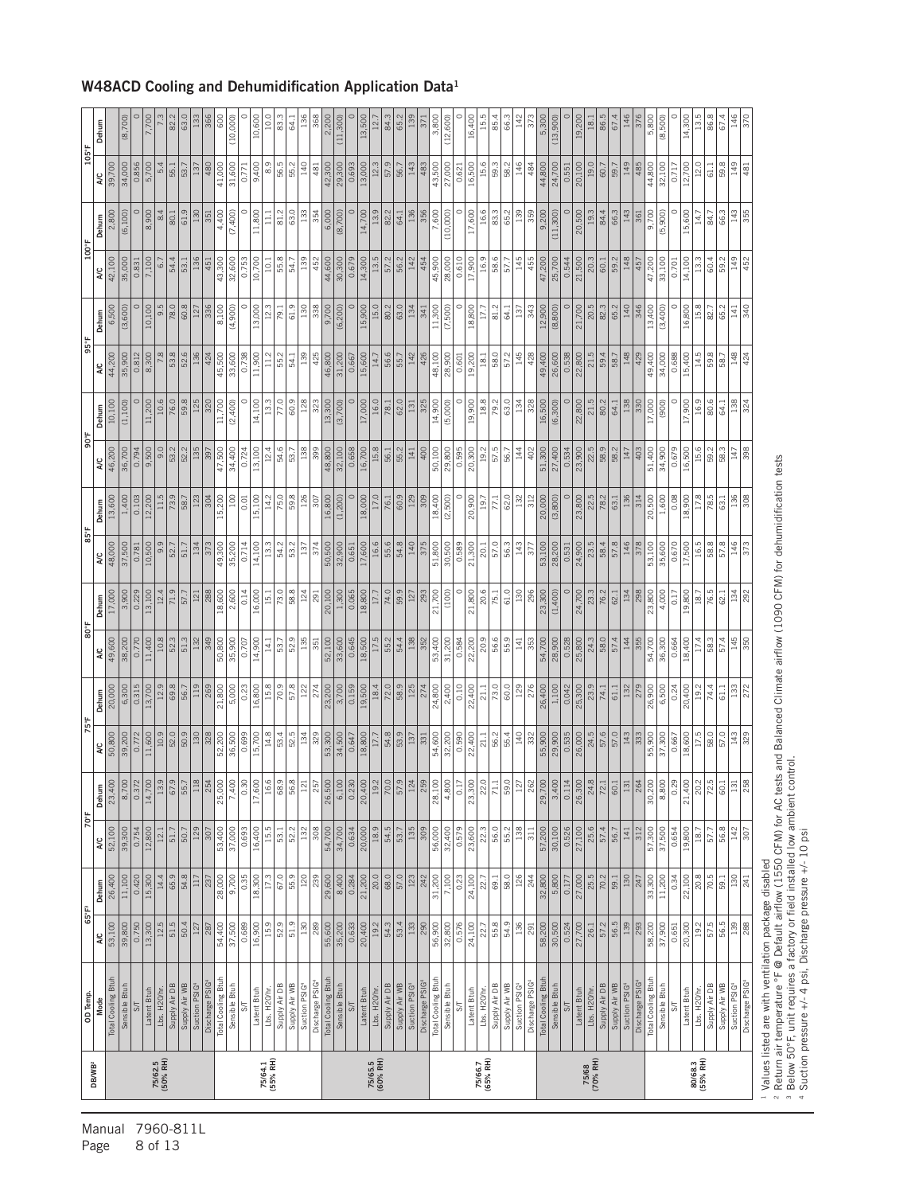| 12.5<br>51.5<br>50.4<br>16,900<br>15.9<br>52.9<br>$\frac{9}{51.9}$<br>130<br>35,200<br>54.3<br>53.4<br>32,800<br>24,100<br>55.8<br>54.9<br>36<br>57.2<br>56.5<br>53,100<br>39,800<br>0.750<br>13,300<br>54,400<br>37,500<br>289<br>0.633<br>20,400<br>19.2<br>133<br>290<br>56,900<br>0.576<br>0.524<br>27,700<br>139<br>293<br>58,200<br>37,900<br>20,300<br>19.2<br>287<br>0.689<br>55,600<br>22.7<br>291<br>58,200<br>30,500<br>0.651<br>127<br>26.1<br>¥<br>Total Cooling Btuh<br>Total Cooling Btuh<br>Total Cooling Btuh<br>Total Cooling Btuh<br>Total Cooling Btuh<br>Total Cooling Btuh<br>Discharge PSIG <sup>4</sup><br>Discharge PSIG<br>Discharge PSIG<br>Discharge PSIG<br>Supply Air WB<br>Supply Air WB<br>Discharge PSIG<br>Supply Air WB<br>Sensible Btuh<br>Supply Air WB<br>Sensible Btuh<br>Supply Air WB<br>Sensible Btuh<br>Sensible Btuh<br>Supply Air DB<br>Suction PSIG <sup>4</sup><br>Sensible Btuh<br>Supply Air DB<br>Suction PSIG <sup>4</sup><br>Supply Air DB<br>Suction PSIG <sup>4</sup><br>Supply Air DB<br>Suction PSIG<br>Supply Air DB<br>Suction PSIG<br>Sensible Btuh<br>Lbs. H20/hr.<br>Latent Btuh<br>Lbs. H20/hr.<br>Latent Btuh<br>Latent Btuh<br>Lbs. H <sub>20/hr</sub><br>Latent Btuh<br>Lbs. H <sub>20/hr</sub><br>Latent Btuh<br>Latent Btuh<br>Lbs. H20/hr<br>Lbs. H20/hr<br>OD Temp.<br>Mode<br>5 <sub>7</sub><br>$\overline{\mathcal{S}}$<br>$5\sqrt{ }$<br>SΤ<br>SТ<br>$5\frac{1}{2}$<br>75/64.1<br>(55% RH)<br>75/66.7<br>(65% RH)<br>75/68<br>(70% RH)<br>80/68.3<br>(55% RH)<br>75/62.5<br>(50% RH)<br>75/65.5<br>(60% RH)<br>DB/WB <sup>2</sup> | 65.9<br>54.8<br>67.0<br>55.9<br>$\frac{0.420}{15,300}$<br>14.4<br>28,000<br>9,700<br>0.35<br>18,300<br>17.3<br>120<br>26,400<br>11,100<br>237<br>117<br>Dehum<br>65°F <sup>3</sup> | 70°F<br>50.7<br>16,400<br>15.5<br>52.2<br>308<br>52,100<br>12,800<br>51.7<br>129<br>37,000<br>132<br>34,700<br>0.634<br>39,300<br>0.754<br>307<br>53,400<br>0.693<br>53.1<br>54,700<br>12.1<br>¥ | Dehum<br>23,400<br>$\frac{8,700}{6}$<br>$\frac{0.372}{14,700}$<br>13.<br>67.9<br>55.<br>$\frac{3}{2}$<br>$25\frac{1}{2}$<br>25,000<br>7,400<br>0.3<br>17,600<br>16.6<br>$\overline{\phantom{0}}^{8}$<br>56.<br>$\overline{2}$<br>25<br>26,500<br>6,100<br>$\frac{30}{25}$<br>20,400<br>19.7<br>$\overline{20}$ | 11,600<br>52.0<br>50.9<br>328<br>52,200<br>15,700<br>14.8<br>52.5<br>50,800<br>10.9<br>30<br>36,500<br>0.699<br>53.4<br>134<br>39,200<br>0.772<br>2 | 13,700<br>69.8<br>0.315<br>12.9<br>56.7<br>269<br>21,800<br>20,000<br>6,300<br>Dehum | 80°F<br>11,400<br>10.8<br>49,600<br>0.770<br>38,200<br>ΝC | $\frac{0.229}{13,100}$<br>17,000<br>3,900<br>Dehum | 10,500<br>48,000<br>37,500<br>0.781<br>λC | 13,600<br>1,400<br>0.103<br>Dehum | 306<br>46,200<br>36,700<br>$\frac{9,500}{ }$<br>9.0<br>0.794<br>¥ | 10,100<br>(1, 100)<br>Dehum | 44,200<br>35,900<br>0.812<br>λC | 10,100<br>6,500<br>(3,600)<br>Dehum | 100°F<br>42,100<br>35,000<br>7,100<br>5<br>0.831<br>¥ | 2,800<br>(6, 100)<br>Dehum | 105°F<br>39,700<br>34,000<br>0.856<br>¥ | Dehum                   |
|-----------------------------------------------------------------------------------------------------------------------------------------------------------------------------------------------------------------------------------------------------------------------------------------------------------------------------------------------------------------------------------------------------------------------------------------------------------------------------------------------------------------------------------------------------------------------------------------------------------------------------------------------------------------------------------------------------------------------------------------------------------------------------------------------------------------------------------------------------------------------------------------------------------------------------------------------------------------------------------------------------------------------------------------------------------------------------------------------------------------------------------------------------------------------------------------------------------------------------------------------------------------------------------------------------------------------------------------------------------------------------------------------------------------------------------------------------------------------------------------------------------------------------------------------------------------------------------------------------------|------------------------------------------------------------------------------------------------------------------------------------------------------------------------------------|--------------------------------------------------------------------------------------------------------------------------------------------------------------------------------------------------|----------------------------------------------------------------------------------------------------------------------------------------------------------------------------------------------------------------------------------------------------------------------------------------------------------------|-----------------------------------------------------------------------------------------------------------------------------------------------------|--------------------------------------------------------------------------------------|-----------------------------------------------------------|----------------------------------------------------|-------------------------------------------|-----------------------------------|-------------------------------------------------------------------|-----------------------------|---------------------------------|-------------------------------------|-------------------------------------------------------|----------------------------|-----------------------------------------|-------------------------|
|                                                                                                                                                                                                                                                                                                                                                                                                                                                                                                                                                                                                                                                                                                                                                                                                                                                                                                                                                                                                                                                                                                                                                                                                                                                                                                                                                                                                                                                                                                                                                                                                           |                                                                                                                                                                                    |                                                                                                                                                                                                  |                                                                                                                                                                                                                                                                                                                |                                                                                                                                                     |                                                                                      |                                                           |                                                    |                                           |                                   |                                                                   |                             |                                 |                                     |                                                       |                            |                                         |                         |
|                                                                                                                                                                                                                                                                                                                                                                                                                                                                                                                                                                                                                                                                                                                                                                                                                                                                                                                                                                                                                                                                                                                                                                                                                                                                                                                                                                                                                                                                                                                                                                                                           |                                                                                                                                                                                    |                                                                                                                                                                                                  |                                                                                                                                                                                                                                                                                                                |                                                                                                                                                     |                                                                                      |                                                           |                                                    |                                           |                                   |                                                                   |                             |                                 |                                     |                                                       |                            |                                         |                         |
|                                                                                                                                                                                                                                                                                                                                                                                                                                                                                                                                                                                                                                                                                                                                                                                                                                                                                                                                                                                                                                                                                                                                                                                                                                                                                                                                                                                                                                                                                                                                                                                                           |                                                                                                                                                                                    |                                                                                                                                                                                                  |                                                                                                                                                                                                                                                                                                                |                                                                                                                                                     |                                                                                      |                                                           |                                                    |                                           |                                   |                                                                   |                             |                                 |                                     |                                                       |                            |                                         | (8,700)                 |
|                                                                                                                                                                                                                                                                                                                                                                                                                                                                                                                                                                                                                                                                                                                                                                                                                                                                                                                                                                                                                                                                                                                                                                                                                                                                                                                                                                                                                                                                                                                                                                                                           |                                                                                                                                                                                    |                                                                                                                                                                                                  |                                                                                                                                                                                                                                                                                                                |                                                                                                                                                     |                                                                                      |                                                           |                                                    |                                           |                                   |                                                                   |                             |                                 |                                     |                                                       |                            |                                         |                         |
|                                                                                                                                                                                                                                                                                                                                                                                                                                                                                                                                                                                                                                                                                                                                                                                                                                                                                                                                                                                                                                                                                                                                                                                                                                                                                                                                                                                                                                                                                                                                                                                                           |                                                                                                                                                                                    |                                                                                                                                                                                                  |                                                                                                                                                                                                                                                                                                                |                                                                                                                                                     |                                                                                      |                                                           |                                                    |                                           | 12,200                            |                                                                   | 11,200                      | $\frac{8,300}{ }$               |                                     |                                                       | 8,900                      | 5,700                                   | 7,700                   |
|                                                                                                                                                                                                                                                                                                                                                                                                                                                                                                                                                                                                                                                                                                                                                                                                                                                                                                                                                                                                                                                                                                                                                                                                                                                                                                                                                                                                                                                                                                                                                                                                           |                                                                                                                                                                                    |                                                                                                                                                                                                  |                                                                                                                                                                                                                                                                                                                |                                                                                                                                                     |                                                                                      |                                                           | 12.4                                               | 9.9                                       | 11.5                              |                                                                   | 10.6                        | 7.8                             | 9.5                                 |                                                       | 8.4                        | 5.4                                     |                         |
|                                                                                                                                                                                                                                                                                                                                                                                                                                                                                                                                                                                                                                                                                                                                                                                                                                                                                                                                                                                                                                                                                                                                                                                                                                                                                                                                                                                                                                                                                                                                                                                                           |                                                                                                                                                                                    |                                                                                                                                                                                                  |                                                                                                                                                                                                                                                                                                                |                                                                                                                                                     |                                                                                      | 51.3<br>52.3                                              | 71.9<br>57.7                                       | 51.7<br>52.7                              | 73.9<br>58.7                      | 52.2<br>53.2                                                      | 59.8<br>76.0                | 53.8<br>52.6                    | 60.8<br>78.0                        | 54.4<br>53.1                                          | 61.9<br>80.1               | 53.7<br>55.1                            | 63.0<br>82.2            |
|                                                                                                                                                                                                                                                                                                                                                                                                                                                                                                                                                                                                                                                                                                                                                                                                                                                                                                                                                                                                                                                                                                                                                                                                                                                                                                                                                                                                                                                                                                                                                                                                           |                                                                                                                                                                                    |                                                                                                                                                                                                  |                                                                                                                                                                                                                                                                                                                |                                                                                                                                                     |                                                                                      | 132                                                       | 121                                                | 134                                       | 123                               | 135                                                               | 125                         | 136                             | 127                                 | 136                                                   | 130                        | 137                                     |                         |
|                                                                                                                                                                                                                                                                                                                                                                                                                                                                                                                                                                                                                                                                                                                                                                                                                                                                                                                                                                                                                                                                                                                                                                                                                                                                                                                                                                                                                                                                                                                                                                                                           |                                                                                                                                                                                    |                                                                                                                                                                                                  |                                                                                                                                                                                                                                                                                                                |                                                                                                                                                     |                                                                                      | 349                                                       | 288                                                | 373                                       | 304                               | 397                                                               | 320                         | 424                             | 336                                 | 451                                                   | 351                        | 480                                     | 366                     |
|                                                                                                                                                                                                                                                                                                                                                                                                                                                                                                                                                                                                                                                                                                                                                                                                                                                                                                                                                                                                                                                                                                                                                                                                                                                                                                                                                                                                                                                                                                                                                                                                           |                                                                                                                                                                                    |                                                                                                                                                                                                  |                                                                                                                                                                                                                                                                                                                |                                                                                                                                                     |                                                                                      | 50,800                                                    | 18,600                                             | 49,300                                    | 15,200                            | 47,500                                                            | 11,700                      | 45,500                          | 8,100                               | 43,300                                                | 4,400                      | 41,000                                  | 8                       |
|                                                                                                                                                                                                                                                                                                                                                                                                                                                                                                                                                                                                                                                                                                                                                                                                                                                                                                                                                                                                                                                                                                                                                                                                                                                                                                                                                                                                                                                                                                                                                                                                           |                                                                                                                                                                                    |                                                                                                                                                                                                  |                                                                                                                                                                                                                                                                                                                |                                                                                                                                                     | 5,000                                                                                | 35,900                                                    | 2,600                                              | 35,200                                    | 100                               | 34,400                                                            | (2,400)                     | 33,600                          | (4,900)                             | 32,600                                                | (7,400)                    | 31,600                                  | (10,000)                |
|                                                                                                                                                                                                                                                                                                                                                                                                                                                                                                                                                                                                                                                                                                                                                                                                                                                                                                                                                                                                                                                                                                                                                                                                                                                                                                                                                                                                                                                                                                                                                                                                           |                                                                                                                                                                                    |                                                                                                                                                                                                  |                                                                                                                                                                                                                                                                                                                |                                                                                                                                                     | 0.23                                                                                 | 0.707                                                     | 0.14                                               | 0.714                                     | 0.01                              | 0.724                                                             |                             | 0.738                           |                                     | 0.753                                                 |                            | 0.771                                   |                         |
|                                                                                                                                                                                                                                                                                                                                                                                                                                                                                                                                                                                                                                                                                                                                                                                                                                                                                                                                                                                                                                                                                                                                                                                                                                                                                                                                                                                                                                                                                                                                                                                                           |                                                                                                                                                                                    |                                                                                                                                                                                                  |                                                                                                                                                                                                                                                                                                                |                                                                                                                                                     | 16,800                                                                               | 14,900                                                    | 16,000                                             | 14,100                                    | 15,100                            | 13,100                                                            | 14,100                      | 11,900                          | 13,000                              | 10,700                                                | 11,800                     | 9,400                                   | 10,600                  |
|                                                                                                                                                                                                                                                                                                                                                                                                                                                                                                                                                                                                                                                                                                                                                                                                                                                                                                                                                                                                                                                                                                                                                                                                                                                                                                                                                                                                                                                                                                                                                                                                           |                                                                                                                                                                                    |                                                                                                                                                                                                  |                                                                                                                                                                                                                                                                                                                |                                                                                                                                                     | 15.8                                                                                 | 14.1                                                      | 15.1                                               | 13.3                                      | 14.2                              | 12.4                                                              | 13.3                        | 11.2                            | 12.3                                | $\overline{10}$                                       | $\overline{111}$           | $\frac{9}{8}$                           | 10.0                    |
|                                                                                                                                                                                                                                                                                                                                                                                                                                                                                                                                                                                                                                                                                                                                                                                                                                                                                                                                                                                                                                                                                                                                                                                                                                                                                                                                                                                                                                                                                                                                                                                                           |                                                                                                                                                                                    |                                                                                                                                                                                                  |                                                                                                                                                                                                                                                                                                                |                                                                                                                                                     | 70.9                                                                                 | 53.7                                                      | 73.0                                               | 54.2                                      | 75.0                              | 54.6                                                              | 77.0                        | 55.2                            | 79.1                                | 55.8                                                  | 81.2                       | 56.5                                    | 83.                     |
|                                                                                                                                                                                                                                                                                                                                                                                                                                                                                                                                                                                                                                                                                                                                                                                                                                                                                                                                                                                                                                                                                                                                                                                                                                                                                                                                                                                                                                                                                                                                                                                                           |                                                                                                                                                                                    |                                                                                                                                                                                                  |                                                                                                                                                                                                                                                                                                                |                                                                                                                                                     | 57.8                                                                                 | 52.9                                                      | 58.8                                               | 53.2                                      | 59.8                              | 53.7                                                              | 60.9                        | 54.1                            | 61.9                                | 54.7                                                  | 63.0                       | 55.2                                    | $-64$                   |
|                                                                                                                                                                                                                                                                                                                                                                                                                                                                                                                                                                                                                                                                                                                                                                                                                                                                                                                                                                                                                                                                                                                                                                                                                                                                                                                                                                                                                                                                                                                                                                                                           |                                                                                                                                                                                    |                                                                                                                                                                                                  |                                                                                                                                                                                                                                                                                                                |                                                                                                                                                     | 122                                                                                  | 135                                                       | 124                                                | 137                                       | 126                               | 138                                                               | 128                         | 139                             | 130                                 | 139                                                   | 133                        | 140                                     |                         |
|                                                                                                                                                                                                                                                                                                                                                                                                                                                                                                                                                                                                                                                                                                                                                                                                                                                                                                                                                                                                                                                                                                                                                                                                                                                                                                                                                                                                                                                                                                                                                                                                           | 239                                                                                                                                                                                |                                                                                                                                                                                                  |                                                                                                                                                                                                                                                                                                                | 329                                                                                                                                                 | 274                                                                                  | 351                                                       | 291                                                | 374                                       | 307                               | 399                                                               | 323                         | 425                             | 338                                 | 452                                                   | 354                        | 481                                     | 368                     |
|                                                                                                                                                                                                                                                                                                                                                                                                                                                                                                                                                                                                                                                                                                                                                                                                                                                                                                                                                                                                                                                                                                                                                                                                                                                                                                                                                                                                                                                                                                                                                                                                           | 29,600                                                                                                                                                                             |                                                                                                                                                                                                  |                                                                                                                                                                                                                                                                                                                | 53,300                                                                                                                                              | 23,200                                                                               | 52,100                                                    | 20,100                                             | 50,500                                    | 16,800                            | 48,800                                                            | 13,300                      | 46,800                          | 9,700                               | 44,600                                                | 6,000                      | 42,300                                  | 2,200                   |
|                                                                                                                                                                                                                                                                                                                                                                                                                                                                                                                                                                                                                                                                                                                                                                                                                                                                                                                                                                                                                                                                                                                                                                                                                                                                                                                                                                                                                                                                                                                                                                                                           | 8,400                                                                                                                                                                              |                                                                                                                                                                                                  |                                                                                                                                                                                                                                                                                                                | 34,500                                                                                                                                              | 3,700                                                                                | 33,600                                                    | 1,300                                              | 32,900                                    | (1, 200)                          | 32,100                                                            | (3,700)                     | 31,200                          | (6, 200)                            | 30,300                                                | (8,700)                    | 29,300                                  | (11, 300)               |
|                                                                                                                                                                                                                                                                                                                                                                                                                                                                                                                                                                                                                                                                                                                                                                                                                                                                                                                                                                                                                                                                                                                                                                                                                                                                                                                                                                                                                                                                                                                                                                                                           | 0.284                                                                                                                                                                              |                                                                                                                                                                                                  |                                                                                                                                                                                                                                                                                                                | 0.647                                                                                                                                               | 0.159                                                                                | 0.645                                                     | 0.065                                              | 0.651                                     |                                   | 0.658                                                             |                             | 0.667                           |                                     | 0.679                                                 | $\circ$                    | 0.693                                   |                         |
|                                                                                                                                                                                                                                                                                                                                                                                                                                                                                                                                                                                                                                                                                                                                                                                                                                                                                                                                                                                                                                                                                                                                                                                                                                                                                                                                                                                                                                                                                                                                                                                                           | 21,200                                                                                                                                                                             | 20,000                                                                                                                                                                                           |                                                                                                                                                                                                                                                                                                                | 18,800                                                                                                                                              | 19,500                                                                               | 18,500                                                    | 18,800                                             | 17,600                                    | 18,000                            | 16,700                                                            | 17,000                      | 15,600                          | 15,900                              | 14,300                                                | 14,700                     | 13,000                                  | 13,500                  |
|                                                                                                                                                                                                                                                                                                                                                                                                                                                                                                                                                                                                                                                                                                                                                                                                                                                                                                                                                                                                                                                                                                                                                                                                                                                                                                                                                                                                                                                                                                                                                                                                           | 20.0                                                                                                                                                                               | 18.9                                                                                                                                                                                             |                                                                                                                                                                                                                                                                                                                | 17.7                                                                                                                                                | 18.4                                                                                 | 17.5                                                      | 17.7                                               | 16.6                                      | 17.0                              | 15.8                                                              | 16.0                        | 14.7                            | 15.0                                | 13.5                                                  | 13.9                       | 12.3                                    | $\overline{2}$          |
|                                                                                                                                                                                                                                                                                                                                                                                                                                                                                                                                                                                                                                                                                                                                                                                                                                                                                                                                                                                                                                                                                                                                                                                                                                                                                                                                                                                                                                                                                                                                                                                                           | 68.0                                                                                                                                                                               | 54.5                                                                                                                                                                                             |                                                                                                                                                                                                                                                                                                                | 54.8                                                                                                                                                | 72.0                                                                                 | 55.2                                                      | 74.0                                               | 55.6                                      | 76.1                              | 56.1                                                              | 78.1                        | 56.6                            | 80.2                                | 57.2                                                  | 82.2                       | 57.9                                    | $\approx$               |
|                                                                                                                                                                                                                                                                                                                                                                                                                                                                                                                                                                                                                                                                                                                                                                                                                                                                                                                                                                                                                                                                                                                                                                                                                                                                                                                                                                                                                                                                                                                                                                                                           | $rac{57.0}{123}$                                                                                                                                                                   | 53.7                                                                                                                                                                                             | $rac{57.9}{124}$                                                                                                                                                                                                                                                                                               | 53.9                                                                                                                                                | 58.9                                                                                 | 54.4                                                      | 59.9                                               | 54.8                                      | 60.9                              | 55.2                                                              | 62.0                        | 55.7                            | 63.0                                | 56.2                                                  | 64.1                       | 56.7                                    | 65.                     |
|                                                                                                                                                                                                                                                                                                                                                                                                                                                                                                                                                                                                                                                                                                                                                                                                                                                                                                                                                                                                                                                                                                                                                                                                                                                                                                                                                                                                                                                                                                                                                                                                           |                                                                                                                                                                                    | 135                                                                                                                                                                                              |                                                                                                                                                                                                                                                                                                                | 137                                                                                                                                                 | 125                                                                                  | 138                                                       | 127                                                | 140                                       | 129                               | 141                                                               | 131                         | 142                             | 134                                 | 142                                                   | 136                        | 143                                     |                         |
|                                                                                                                                                                                                                                                                                                                                                                                                                                                                                                                                                                                                                                                                                                                                                                                                                                                                                                                                                                                                                                                                                                                                                                                                                                                                                                                                                                                                                                                                                                                                                                                                           | 242                                                                                                                                                                                | 309                                                                                                                                                                                              | 25                                                                                                                                                                                                                                                                                                             | 331                                                                                                                                                 | 274                                                                                  | 352                                                       | 293                                                | 375                                       | 309                               | 400                                                               | 325                         | 426                             | 341                                 | 454                                                   | 356                        | 483                                     |                         |
|                                                                                                                                                                                                                                                                                                                                                                                                                                                                                                                                                                                                                                                                                                                                                                                                                                                                                                                                                                                                                                                                                                                                                                                                                                                                                                                                                                                                                                                                                                                                                                                                           | 31,200                                                                                                                                                                             | 56,000                                                                                                                                                                                           | 28,100                                                                                                                                                                                                                                                                                                         | 54,600                                                                                                                                              | 24,800                                                                               | 53,400                                                    | 21,700                                             | 51,800                                    | 18,400                            | 50,100                                                            | 14,900                      | 48,100                          | 11,300                              | 45,900                                                | 7,600                      | 43,500                                  | 3,800                   |
|                                                                                                                                                                                                                                                                                                                                                                                                                                                                                                                                                                                                                                                                                                                                                                                                                                                                                                                                                                                                                                                                                                                                                                                                                                                                                                                                                                                                                                                                                                                                                                                                           | 7,100                                                                                                                                                                              | 32,400                                                                                                                                                                                           | 4,800                                                                                                                                                                                                                                                                                                          | 32,200                                                                                                                                              | 2,400                                                                                | 31,200                                                    | (100)                                              | 30,500                                    | (2,500)                           | 29,800                                                            | (5,000)                     | 28,900                          | (7,500)                             | 28,000                                                | (10,000)                   | 27,000                                  | (12,600)                |
|                                                                                                                                                                                                                                                                                                                                                                                                                                                                                                                                                                                                                                                                                                                                                                                                                                                                                                                                                                                                                                                                                                                                                                                                                                                                                                                                                                                                                                                                                                                                                                                                           | 0.23                                                                                                                                                                               | 0.579                                                                                                                                                                                            | $\frac{1}{2}$                                                                                                                                                                                                                                                                                                  | 0.590                                                                                                                                               | 0.10                                                                                 | 0.584                                                     |                                                    | 0.589                                     |                                   | 0.595                                                             |                             | 0.601                           |                                     | 0.610                                                 |                            | 0.621                                   |                         |
|                                                                                                                                                                                                                                                                                                                                                                                                                                                                                                                                                                                                                                                                                                                                                                                                                                                                                                                                                                                                                                                                                                                                                                                                                                                                                                                                                                                                                                                                                                                                                                                                           | 24,100                                                                                                                                                                             | 23,600                                                                                                                                                                                           | 23,300                                                                                                                                                                                                                                                                                                         | 22,400                                                                                                                                              | 22,400                                                                               | 22,200                                                    | 21,800                                             | 21,300                                    | 20,900                            | 20,300                                                            | 19,900                      | 19,200                          | 18,800                              | 17,900                                                | 17,600                     | 16,500                                  | 16,400                  |
|                                                                                                                                                                                                                                                                                                                                                                                                                                                                                                                                                                                                                                                                                                                                                                                                                                                                                                                                                                                                                                                                                                                                                                                                                                                                                                                                                                                                                                                                                                                                                                                                           | 22.7                                                                                                                                                                               | 22.3                                                                                                                                                                                             | 22.0                                                                                                                                                                                                                                                                                                           | 21.1                                                                                                                                                | 21.1                                                                                 | 20.9                                                      | 20.6                                               | 20.1                                      | 19.7                              | 19.2                                                              | 18.8                        | 18.1                            |                                     | 16.9                                                  | 16.6                       | 15.6                                    | $\overline{15}$         |
|                                                                                                                                                                                                                                                                                                                                                                                                                                                                                                                                                                                                                                                                                                                                                                                                                                                                                                                                                                                                                                                                                                                                                                                                                                                                                                                                                                                                                                                                                                                                                                                                           | 69.1                                                                                                                                                                               | 56.0                                                                                                                                                                                             | $\overline{z}$                                                                                                                                                                                                                                                                                                 | 56.2                                                                                                                                                | 73.0                                                                                 | 56.6                                                      | 75.1                                               | 57.0                                      | 77.1                              | 57.5                                                              | 79.2                        | 58.0                            | 81.2                                | 58.6                                                  | 83.3                       | 59.3                                    | 85.4                    |
|                                                                                                                                                                                                                                                                                                                                                                                                                                                                                                                                                                                                                                                                                                                                                                                                                                                                                                                                                                                                                                                                                                                                                                                                                                                                                                                                                                                                                                                                                                                                                                                                           | 58.0                                                                                                                                                                               | 55.2                                                                                                                                                                                             | 59(                                                                                                                                                                                                                                                                                                            | 55.4                                                                                                                                                | 60.0                                                                                 | 55.9                                                      | 61.0                                               | 56.3                                      | 62.0                              | 56.7                                                              | 63.0                        | 57.2                            | 64.1                                | 57.7                                                  | 65.2                       | 58.2                                    | 66.3                    |
|                                                                                                                                                                                                                                                                                                                                                                                                                                                                                                                                                                                                                                                                                                                                                                                                                                                                                                                                                                                                                                                                                                                                                                                                                                                                                                                                                                                                                                                                                                                                                                                                           | 26                                                                                                                                                                                 | 38                                                                                                                                                                                               | ¤                                                                                                                                                                                                                                                                                                              | 3                                                                                                                                                   | 129                                                                                  | <sup>141</sup>                                            | $\frac{8}{13}$                                     | 143                                       | 132                               | 144                                                               | 134                         | 145                             | 137                                 | 145                                                   | 139                        | 146                                     | 142                     |
|                                                                                                                                                                                                                                                                                                                                                                                                                                                                                                                                                                                                                                                                                                                                                                                                                                                                                                                                                                                                                                                                                                                                                                                                                                                                                                                                                                                                                                                                                                                                                                                                           | 244                                                                                                                                                                                | 311                                                                                                                                                                                              | $\frac{26}{3}$                                                                                                                                                                                                                                                                                                 | 332                                                                                                                                                 | 276                                                                                  | 353                                                       | 296                                                | 377                                       | 312                               | 402                                                               | 328                         | 428                             | 343                                 | 455                                                   | 359                        | 484                                     | 373                     |
|                                                                                                                                                                                                                                                                                                                                                                                                                                                                                                                                                                                                                                                                                                                                                                                                                                                                                                                                                                                                                                                                                                                                                                                                                                                                                                                                                                                                                                                                                                                                                                                                           | 5,800<br>32,800                                                                                                                                                                    | 57,200<br>30,100                                                                                                                                                                                 | 29,700<br>3,400                                                                                                                                                                                                                                                                                                | 55,900<br>29,900                                                                                                                                    | 1,100<br>26,400                                                                      | 54,700<br>28,900                                          | 23,300<br>(1,400)                                  | 53,100<br>28,200                          | 20,000<br>(3,800)                 | 51,300<br>27,400                                                  | 16,500<br>(6, 300)          | 49,400<br>26,600                | 12,900<br>(8, 800)                  | 25,700<br>47,200                                      | 9,200<br>(11,300)          | 44,800<br>24,700                        | 5,300<br>(13, 900)      |
|                                                                                                                                                                                                                                                                                                                                                                                                                                                                                                                                                                                                                                                                                                                                                                                                                                                                                                                                                                                                                                                                                                                                                                                                                                                                                                                                                                                                                                                                                                                                                                                                           | 0.177                                                                                                                                                                              | 0.526                                                                                                                                                                                            | 0.114                                                                                                                                                                                                                                                                                                          | 0.535                                                                                                                                               | 0.042                                                                                | 0.528                                                     | $\circ$                                            | 0.531                                     | $\circ$                           | 0.534                                                             |                             | 0.538                           |                                     | 0.544                                                 |                            | 0.551                                   |                         |
|                                                                                                                                                                                                                                                                                                                                                                                                                                                                                                                                                                                                                                                                                                                                                                                                                                                                                                                                                                                                                                                                                                                                                                                                                                                                                                                                                                                                                                                                                                                                                                                                           | 27,000                                                                                                                                                                             | 27,100                                                                                                                                                                                           | 26,300                                                                                                                                                                                                                                                                                                         | 26,000                                                                                                                                              | 25,300                                                                               | 25,800                                                    | 24,700                                             | 24,900                                    | 23,800                            | 23,900                                                            | 22,800                      | 22,800                          | 21,700                              | 21,500                                                | 20,500                     | 20,100                                  | 19,200                  |
|                                                                                                                                                                                                                                                                                                                                                                                                                                                                                                                                                                                                                                                                                                                                                                                                                                                                                                                                                                                                                                                                                                                                                                                                                                                                                                                                                                                                                                                                                                                                                                                                           | 25.5                                                                                                                                                                               | 25.6                                                                                                                                                                                             | 24.8                                                                                                                                                                                                                                                                                                           | 24.5                                                                                                                                                | 23.9                                                                                 | 24.3                                                      | 23.3                                               | 23.5                                      | 22.5                              | 22.5                                                              | 21.5                        | 21.5                            | 20.5                                | 20.3                                                  | 19.3                       | 19.0                                    | $\overline{18}$         |
|                                                                                                                                                                                                                                                                                                                                                                                                                                                                                                                                                                                                                                                                                                                                                                                                                                                                                                                                                                                                                                                                                                                                                                                                                                                                                                                                                                                                                                                                                                                                                                                                           | 70.2                                                                                                                                                                               | 57.4                                                                                                                                                                                             | $\overline{2}$                                                                                                                                                                                                                                                                                                 | 57.6                                                                                                                                                | 74.1                                                                                 | 58.0                                                      | 76.2                                               | 58.4                                      | 78.2                              | 58.9                                                              | 80.2                        | 59.4                            | 82.3                                | 60.1                                                  | 84.4                       | 60.7                                    | 86.5                    |
|                                                                                                                                                                                                                                                                                                                                                                                                                                                                                                                                                                                                                                                                                                                                                                                                                                                                                                                                                                                                                                                                                                                                                                                                                                                                                                                                                                                                                                                                                                                                                                                                           | 59.1                                                                                                                                                                               | 56.7                                                                                                                                                                                             | 60.                                                                                                                                                                                                                                                                                                            | 57.0                                                                                                                                                | 61.1                                                                                 | 57.4                                                      | 62.1                                               | 57.8                                      | 63.1                              | 58.2                                                              | 64.1                        | 58.7                            | 65.2                                | 59.2                                                  | 66.3                       | 59.7                                    | 67.4                    |
|                                                                                                                                                                                                                                                                                                                                                                                                                                                                                                                                                                                                                                                                                                                                                                                                                                                                                                                                                                                                                                                                                                                                                                                                                                                                                                                                                                                                                                                                                                                                                                                                           | 130                                                                                                                                                                                | 141                                                                                                                                                                                              | 13i                                                                                                                                                                                                                                                                                                            | 143                                                                                                                                                 | 132                                                                                  | 144                                                       | 134                                                | 146                                       | 136                               | $147\,$                                                           | 138                         | 148                             | 140                                 | 148                                                   | 143                        | 149                                     | 146                     |
|                                                                                                                                                                                                                                                                                                                                                                                                                                                                                                                                                                                                                                                                                                                                                                                                                                                                                                                                                                                                                                                                                                                                                                                                                                                                                                                                                                                                                                                                                                                                                                                                           | 247                                                                                                                                                                                | 312                                                                                                                                                                                              | $\frac{8}{2}$                                                                                                                                                                                                                                                                                                  | 333                                                                                                                                                 | 279                                                                                  | 355                                                       | 298                                                | 378                                       | 314                               | 403                                                               | 330                         | 429                             | 346                                 | 457                                                   | 361                        | 485                                     | 376                     |
|                                                                                                                                                                                                                                                                                                                                                                                                                                                                                                                                                                                                                                                                                                                                                                                                                                                                                                                                                                                                                                                                                                                                                                                                                                                                                                                                                                                                                                                                                                                                                                                                           | 33,300                                                                                                                                                                             | 57,300                                                                                                                                                                                           | $\frac{30,200}{6}$                                                                                                                                                                                                                                                                                             | 55,900                                                                                                                                              | 26,900                                                                               | 54,700                                                    | 23,800<br>4,000                                    | 53,100<br>35,600                          | 20,500<br>1,600                   | 51,400<br>34,900                                                  | 17,000                      | 49,400<br>34,000                | 13,400<br>(3,400)                   | 33,100<br>47,200                                      | 9,700<br>(5,900)           | 44,800                                  | (8,500)<br>5,800        |
|                                                                                                                                                                                                                                                                                                                                                                                                                                                                                                                                                                                                                                                                                                                                                                                                                                                                                                                                                                                                                                                                                                                                                                                                                                                                                                                                                                                                                                                                                                                                                                                                           | 11,200                                                                                                                                                                             | 37,500<br>0.654                                                                                                                                                                                  | 8,800                                                                                                                                                                                                                                                                                                          | 37,300<br>0.667                                                                                                                                     | 6,500<br>0.24                                                                        | 36,300<br>0.664                                           |                                                    |                                           | 0.08                              | 0.679                                                             | (900)                       | 0.688                           |                                     | 0.701                                                 |                            | 32,100                                  |                         |
|                                                                                                                                                                                                                                                                                                                                                                                                                                                                                                                                                                                                                                                                                                                                                                                                                                                                                                                                                                                                                                                                                                                                                                                                                                                                                                                                                                                                                                                                                                                                                                                                           | 0.34<br>22,100                                                                                                                                                                     | 19,800                                                                                                                                                                                           | $\frac{5}{2}$<br>21,400                                                                                                                                                                                                                                                                                        | 18,600                                                                                                                                              | 20,400                                                                               | 18,400                                                    | 19,800<br>0.17                                     | 0.670<br>17,500                           | 18,900                            | 16,500                                                            | 17,900                      | 15,400                          | 16,800                              | 14,100                                                | 15,600                     | 12,700<br>0.717                         |                         |
|                                                                                                                                                                                                                                                                                                                                                                                                                                                                                                                                                                                                                                                                                                                                                                                                                                                                                                                                                                                                                                                                                                                                                                                                                                                                                                                                                                                                                                                                                                                                                                                                           | 20.8                                                                                                                                                                               | 18.7                                                                                                                                                                                             | 20.                                                                                                                                                                                                                                                                                                            | 17.5                                                                                                                                                | 19.2                                                                                 | 17.4                                                      | 18.7                                               | 16.5                                      | 17.8                              | 15.6                                                              | 16.9                        | 14.5                            | 15.8                                | 13.3                                                  | 14.7                       | 12.0                                    | 14,300<br>$\frac{3}{2}$ |
| 57.5<br>Supply Air DB                                                                                                                                                                                                                                                                                                                                                                                                                                                                                                                                                                                                                                                                                                                                                                                                                                                                                                                                                                                                                                                                                                                                                                                                                                                                                                                                                                                                                                                                                                                                                                                     | 70.5                                                                                                                                                                               | 57.7                                                                                                                                                                                             | 72.                                                                                                                                                                                                                                                                                                            | 58.0                                                                                                                                                | 74.4                                                                                 | 58.3                                                      | 76.5                                               | 58.8                                      | 78.5                              | 59.2                                                              | 80.6                        | 59.8                            | 82.7                                | 60.4                                                  | 84.7                       | 61.1                                    | 86.8                    |
| 56.5<br>Supply Air WB                                                                                                                                                                                                                                                                                                                                                                                                                                                                                                                                                                                                                                                                                                                                                                                                                                                                                                                                                                                                                                                                                                                                                                                                                                                                                                                                                                                                                                                                                                                                                                                     | 59.1                                                                                                                                                                               | 56.8                                                                                                                                                                                             | 60.                                                                                                                                                                                                                                                                                                            | 57.0                                                                                                                                                | 61.                                                                                  | 57.4                                                      | 62.1                                               | 57.8                                      | $\overline{63}$ .                 | 58.3                                                              | $-1$                        | 58.7                            | 65.2                                | 59.2                                                  | 66.3                       | 59.8                                    | 67.4                    |
| 139<br>Suction PSIG <sup>4</sup>                                                                                                                                                                                                                                                                                                                                                                                                                                                                                                                                                                                                                                                                                                                                                                                                                                                                                                                                                                                                                                                                                                                                                                                                                                                                                                                                                                                                                                                                                                                                                                          | 130                                                                                                                                                                                | 142                                                                                                                                                                                              | $\frac{13}{28}$                                                                                                                                                                                                                                                                                                | 143                                                                                                                                                 | 133                                                                                  | 145                                                       | 134                                                | 146                                       | 136                               | 147                                                               | 138                         | 148                             | 141                                 | 149                                                   | 143                        | 149                                     | 146                     |
| 288<br>Discharge PSIG                                                                                                                                                                                                                                                                                                                                                                                                                                                                                                                                                                                                                                                                                                                                                                                                                                                                                                                                                                                                                                                                                                                                                                                                                                                                                                                                                                                                                                                                                                                                                                                     | 241                                                                                                                                                                                | $\frac{50}{20}$                                                                                                                                                                                  |                                                                                                                                                                                                                                                                                                                | 329                                                                                                                                                 | 272                                                                                  | 350                                                       | 292                                                | 373                                       | 308                               | 398                                                               | 324                         | 424                             | 340                                 | 452                                                   | 355                        | 481                                     | 370                     |

- 2012

Values listed are with ventilation package disabled

Suction pressure +/- 4 psi, Discharge pressure +/- 10 psi

<sup>2</sup> Return air temperature °F @ Default airflow (1550 CFM) for AC tests and Balanced Climate airflow (1090 CFM) for dehumidification tests<br>3 Below 50°F, unit requires a factory or field installed low ambient control.

W48ACD Cooling and Dehumidification Application Data1

Manual 7960-811L<br>Page 8 of 13 8 of 13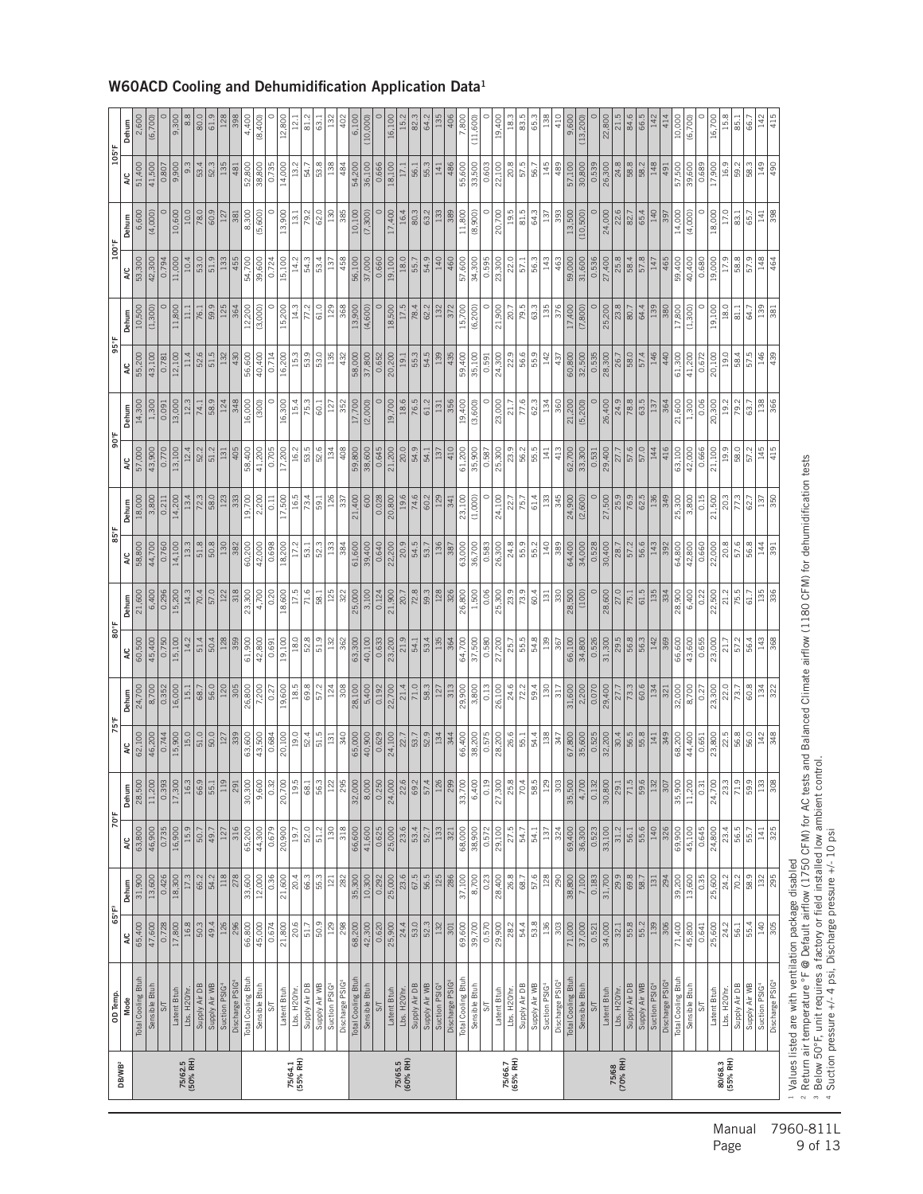| <b>DB/WB<sup>2</sup></b> | OD Temp.                       | 65°F <sup>3</sup>             |                  | 70°F                 |                              | 75°F                 |                 | 80°F                 |                        | 85°F              |                 | 90°F                   |                   | 95°F            |                 | 100°F                |                | 105°F           |                    |
|--------------------------|--------------------------------|-------------------------------|------------------|----------------------|------------------------------|----------------------|-----------------|----------------------|------------------------|-------------------|-----------------|------------------------|-------------------|-----------------|-----------------|----------------------|----------------|-----------------|--------------------|
|                          | Total Cooling Btuh<br>Mode     | 65,400<br><b>AC</b>           | 31,900<br>Dehum  | 63,800<br><b>A</b> C | Dehum<br>28,500              | 62,100<br><b>A</b> C | 24,700<br>Dehum | 60,500<br><b>A/C</b> | 21,600<br>Dehum        | 58,800<br>A/C     | 18,000<br>Dehum | 57,000<br><b>AC</b>    | 14,300<br>Dehum   | 55,200<br>A/C   | 10,500<br>Dehum | 53,300<br><b>A/C</b> | 6,600<br>Dehum | 51,400<br>A/C   | 2,600<br>Dehum     |
|                          | Sensible Btuh                  | 47,600                        | 13,600           | 46,900               | 11,200                       | 46,200               | 8,700           | 45,400               | 6,400                  | 44,700            | 3,800           | 43,900                 | 1,300             | 43,100          | (1,300)         | 42,300               | (4,000)        | 41,500          | (6,700)            |
|                          | $S\mathsf{T}$                  |                               |                  |                      | $\frac{39}{3}$               |                      |                 |                      |                        |                   |                 |                        |                   |                 |                 |                      |                |                 |                    |
|                          | Latent Btuh                    | 17,800<br>0.728               | 18,300<br>0.426  | 16,900<br>0.735      | 17,300                       | 15,900<br>0.744      | 16,000<br>0.352 | 15,100<br>0.750      | 15,200<br>0.296        | 14,100<br>0.760   | 14,200<br>0.211 | 13,100<br>0.770        | 13,000<br>0.091   | 12,100<br>0.781 | 11,800          | 11,000<br>0.794      | 10,600         | 9,900<br>0.807  | 9,300              |
| 75/62.5<br>(50% RH)      | Lbs. H20/hr.                   | 16.8                          | 17.3             | 15.9                 | 16.                          | 15.0                 | 15.1            | 14.2                 | 14.3                   | 13.3              | 13.4            | 12.4                   | 12.3              | 11.4            |                 | 10.4                 | 10.0           | 9.3             |                    |
|                          | Supply Air DB                  | 50.3                          | 65.2             | 50.7                 |                              | 51.0                 | 68.7            | 51.4                 | 70.4                   | 51.8              | 72.3            | 52.2                   | 74.1              | 52.6            | 76.1            | 53.0                 | 78.0           | 53.4            | 80.0               |
|                          | Supply Air WB                  | 49.4                          | 54.2             | 49.7                 | 66.6                         | 50.0                 | 56.0            | 50.4                 | 57.0                   | 50.8              | 58.0            | 51.2                   | 58.9              | 51.5            | 59.9            | 51.9                 | 60.9           | 52.3            | $\overline{61}$    |
|                          | Suction PSIG <sup>4</sup>      | 126                           | 118              | 127                  | Ιă                           | <sup>127</sup>       | 120             | 128                  | 122                    | 130               | 123             | 131                    | 124               | 132             | 125             | 133                  | 127            | 135             |                    |
|                          | Discharge PSIG                 | 296                           | 278              | 316                  | 29                           | 339                  | 305             | 359                  | 318                    | 382               | 333             | 405                    | 348               | 430             | 364             | 455                  | 381            | 481             |                    |
|                          | Total Cooling Btuh             | 66,800                        | 33,600           | 65,200               | 30,300                       | 63,600               | 26,800          | 61,900               | 23,300                 | 60,200            | 19,700          | 58,400                 | 16,000            | 56,600          | 12,200          | 54,700               | 8,300          | 52,800          | 4,400              |
|                          | Sensible Btuh                  | 45,000                        | 12,000           | 44,300               | 9,60                         | 43,500               | 7,200           | 42,800               | 4,700                  | 42,000            | 2,200           | 41,200                 | (300)             | 40,400          | (3,000)         | 39,600               | (5,600)        | 38,800          | (8,400)            |
|                          | $5\frac{1}{2}$                 | 0.674                         | 0.36             | 0.679                | $\frac{3}{2}$                | 0.684                | 0.27            | 0.691                | 0.20                   | 0.698             | 0.11            | 0.705                  |                   | 0.714           |                 | 0.724                |                | 0.735           |                    |
|                          | Latent Btuh                    | 21,800                        | 21,600           | 20,900               | 20,700                       | 20,100               | 19,600          | 19,100               | 18,600                 | 18,200            | 17,500          | 17,200                 | 16,300            | 16,200          | 15,200          | 15,100               | 13,900         | 14,000          | 12,800             |
| 75/64.1<br>(55% RH)      | Lbs. H20/hr.                   | 20.6                          | 20.4             | 19.7                 | $\frac{19}{1}$               | 19.0                 | 18.5            | 18.0                 | 17.5                   | 17.2              | 16.5            | 16.2                   | 15.4              | 15.3            | 14.3            | 14.2                 | 13.1           | 13.2            | $\mathbb{E}$       |
|                          | Supply Air DB                  | 51.7                          | 66.3             | $\frac{52.0}{52}$    | $\overline{\phantom{a}}$     | 52.4                 | 69.8            | 52.8                 | 71.6                   | $\overline{53.1}$ | 73.4            | 53.5                   | 75.3              | 53.9            |                 | 54.3                 | 79.2           | 54.7            | $\overline{a}$     |
|                          | Supply Air WB                  | 50.9                          | 55.3             | 51.2                 | $\overline{56}$              | 51.5                 | 57.2            | 51.9                 | 58.1                   | 52.3              | 59.1            | 52.6                   | $\overline{60.1}$ | 53.0            | 61.0            | 53.4                 | 62.0           | 53.8            | 3                  |
|                          | Suction PSIG4                  | 129                           | 121              | 130                  | $\frac{1}{2}$                | 131                  | 124             | 132                  | 125                    | 133               | 126             | 134                    | 127               | 135             | 129             | 137                  | 130            | 138             | 132                |
|                          | Discharge PSIG                 | 298                           | 282              | 318                  | $\overline{8}$               | 340                  | 308             | 362                  | 322                    | 384               | 337             | 408                    | 352               | 432             | 368             | 458                  | 385            | 484             |                    |
|                          | Total Cooling Btuh             | 68,200                        | 35,300<br>10,300 | 66,600               | $\frac{32,000}{8,000}$       | 65,000               | 28,100          | 63,300               | $\frac{25,000}{3,100}$ | 61,600            | 21,400          | 59,800                 | 17,700            | 58,000          | 13,900          | 56,100               | 10,100         | 54,200          | 6.100              |
|                          | Sensible Btuh                  | 42,300                        |                  | 41,600               |                              | 40,900               | 5,400           | 40,100               |                        | 39,400            | 600             | 38,600                 | (2,000)           | 37,800          | (4,600)         | 37,000               | (7,300)        | 36,100          | (10,000            |
|                          | $5\sqrt{2}$                    | 0.620                         | 0.292            | 0.625                | $\frac{5}{0.25}$             | 0.629                | 0.192           | 0.633                | 0.124                  | 0.640             | 0.028           | 0.645                  |                   | 0.652           |                 | 0.660                |                | 0.666           |                    |
|                          | Latent Btuh                    | 25,900                        | 25,000           | 25,000               | 24,000                       | 24,100               | 22,700          | 23,200               | 21,900                 | 22,200            | 20,800          | 21,200                 | 19,700            | 20,200          | 18,500          | 19,100               | 17,400         | 18,100          | 16,10C             |
| 75/65.5<br>(60% RH)      | Lbs. H20/hr.                   | 24.4                          | 23.6             | 23.6                 | $rac{22.6}{69.2}$            | 22.7                 | 21.4            | 21.9                 | 20.7                   | 20.9              | 19.6            | 20.0                   | 18.6              | 19.1            | 17.5            | 18.0                 | 16.4           | 17.1            | 15.2               |
|                          | Supply Air DB                  | $\overline{\phantom{0}}$ 53.0 | 67.5             | 53.4                 |                              | 53.7                 | $\frac{1}{0}$   | 54.1                 | 72.8                   | 54.5              | 74.6            | 54.9                   | 76.5              | 55.3            | 78.4            | 55.7                 | 80.3           | 56.1            | $\frac{\infty}{2}$ |
|                          | Supply Air WB                  | 52.3                          | 56.5<br>125      | 52.7                 | $\left  \frac{5}{2} \right $ | 52.9<br>134          | 58.3            | 53.4                 | 59.3                   | 53.7              | 60.2            | 54.1                   | 61.2              | 54.5            | 62.2            | 54.9                 | 63.2           | 55.3            | 64.2               |
|                          | Suction PSIG4                  |                               |                  |                      |                              |                      | 127             | 135                  | 128                    | 136               | 129             | 137                    | 131               | 139             | 132             | 140                  | 133            | 141             |                    |
|                          | Discharge PSIG                 | $\overline{301}$              | 286              | 321                  | $ \breve{\mathbf{\%}}$       | 344                  | 313             | 364                  | 326                    | 387               | 341             | 410                    | 356               | 435             | 372             | 460                  | 389            | 486             |                    |
|                          | Total Cooling Btuh             | 69,600                        | 37,100           | 68,000               | 33,700                       | 66,400               | 29,900          | 64,700               | 26,800                 | 63,000            | 23,100          | 61,200                 | 19,400            | 59,400          | 15,700          | 57,600               | 11,800         | 55,600          | 7,800              |
|                          | Sensible Btuh                  | 39,700                        | 8,700            | 38,900               | 6,40                         | 38,200               | 3,800           | 37,500               | $\frac{1500}{2500}$    | 36,700            | (1,000)         | 35,900                 | (3,600)           | 35,100          | (6, 200)        | 34,300               | (8,900)        | 33,500          | (11,600)           |
|                          | $5\frac{1}{2}$                 | 0.570                         | 0.23             | 0.572                | $\frac{1}{2}$                | 0.575                | 0.13            | 0.580                | 0.06                   | 0.583             |                 | 0.587                  |                   | 0.591           |                 | 0.595                |                | 0.603           |                    |
|                          | Latent Btuh                    | 29,900                        | 28,400           | 29,100               | 27,300                       | 28,200               | 26,100          | 27,200               | 25,300                 | 26,300            | 24,100          | 25,300                 | 23,000            | 24,300          | 21,900          | 23,30C               | 20,700         | 22,100          | 19,400             |
| 75/66.7<br>(65% RH)      | Lbs. H20/hr.                   | 28.2                          | 26.8             | 27.5                 | 25.8                         | 26.6                 | 24.6            | 25.7                 | 23.9                   | 24.8              | 22.7            | 23.9                   | 21.7              | 22.9            | 20.7            | 22.0                 | 19.5           | 20.8            | 18.3               |
|                          | Supply Air DB                  | 54.4                          | 68.7             | 54.7                 | R                            | 55.1                 | 72.2            | 55.5                 | 73.9                   | 55.9              | 75.7            | 56.2                   | 77.6              | 56.6            | 79.5            | 57.1                 | 81.5           | 57.5            | 83.5               |
|                          | Supply Air WB                  | 53.8                          | 57.6             | 54.1                 | 58.                          | 54.4                 | 59.4            | 54.8                 | 60.4                   | 55.2              | 61.4            | 55.5                   | 62.3              | 55.9            | 63.3            | 56.3                 | 64.3           | 56.7            | 65.3               |
|                          | Suction PSIG                   | 36                            | 128              | 137                  | $\frac{N}{2}$                | 138                  | 130             | 139                  | 131                    | 140               | 133             | $\vert$ <sub>141</sub> | 134               | 142             | 135             | 143                  | 137            | 145             |                    |
|                          | Discharge PSIG                 | 303                           | 290              | 324                  | $\frac{8}{30}$               | 347                  | 317             | 367                  | 330                    | 389               | 345             | 413                    | 360               | 437             | 376             | 463                  | 393            | 489             | 410                |
|                          | Total Cooling Btuh             | 71,000                        | 38,800           | 69,400               | 35,500                       | 67,800               | 31,600          | 66,100               | 28,500                 | 64,400            | 24,900          | 62,700                 | 21,200            | 60,800          | 17,400          | 59,000               | 13,500         | 57,100          | 9,600              |
|                          | Sensible Btuh<br>$5\sqrt{ }$   | 37,000<br>0.521               | 7,100<br>0.183   | 36,300<br>0.523      | $\sqrt{4,700}$<br>0.132      | 35,600<br>0.525      | 2,200<br>0.070  | 34,800<br>0.526      | $\circ$<br>(100)       | 34,000<br>0.528   | (2,600)         | 33,300<br>0.531        | (5, 200)          | 32,500<br>0.535 | (7,800)         | 31,600<br>0.536      | (10, 500)      | 30,800<br>0.539 | (13, 200)          |
|                          | Latent Btuh                    | 34,000                        | 31,700           | 33,100               | 30,80                        | 32,200               | 29,400          | 31,300               | 28,600                 | 30,400            | 27,500          | 29,400                 | 26,400            | 28,300          | 25,200          | 27,400               | 24,000         | 26,300          | 22,800             |
| 75/68<br>(70% RH)        | Lbs. H20/hr.                   | 32.1                          | 29.9             | 31.2                 | $\overline{29}$              | 30.4                 | 27.7            | 29.5                 | 27.0                   | 28.7              | 25.9            | 27.7                   | 24.9              | 26.7            | 23.8            | 25.8                 | 22.6           | 24.8            | $\overline{c}$     |
|                          | Supply Air DB                  | 55.8                          | 69.8             | 56.1                 | 71.5                         | 56.5                 | 73.3            | 56.8                 | 75.1                   | 57.2              | 76.9            | 57.6                   | 78.8              | 58.0            | 80.7            | 58.4                 | 82.7           | 58.8            | 84.6               |
|                          | Supply Air WB                  | 55.2                          | 58.7             | 55.6                 | 59.                          | 55.8                 | 60.6            | 56.3                 | 61.5                   | 56.6              | 62.5            | 57.0                   | 63.5              | 57.4            | 64.4            | 57.8                 | 65.4           | 58.2            | 66.5               |
|                          | Suction PSIG <sup>4</sup>      | 139                           | $131\,$          | 140                  | $\frac{37}{2}$               | 141                  | 134             | 142                  | 135                    | 143               | 136             | 144                    | 137               | 146             | 139             | 147                  | 140            | 148             |                    |
|                          | Discharge PSIG                 | 306                           | 294              | 326                  | $\frac{30}{5}$               | 349                  | 321             | 369                  | 334                    | 392               | 349             | 416                    | 364               | 440             | 380             | 465                  | 397            | 491             | 414                |
|                          | Total Cooling Btuh             | 71,400                        | 39,200           | 69,900               | 35,90                        | 68,200               | 32,000          | 66,600               | 28,900                 | 64,800            | 25,300          | 63,100                 | 21,600            | 61,300          | 17,800          | 59,400               | 14,000         | 57,500          | 10,000             |
|                          | Sensible Btuh                  | 45,800                        | 13,600           | 45,100               | 11,200                       | 44,400               | 8,700           | 43,600               | 6,400                  | 42,800            | 3,800           | 42,000                 | 1,300             | 41,200          | (1,300)         | 40,400               | (4,000)        | 39,600          | (6,700)            |
|                          | $\overline{\mathcal{S}}$       | 0.641                         | 0.35             | 0.645                | 0.3                          | 0.651                | 0.27            | 0.655                | 0.22                   | 0.660             | 0.15            | 0.666                  | 0.06              | 0.672           |                 | 0.680                |                | 0.689           |                    |
|                          | Latent Btuh                    | 25,600                        | 25,600           | 24,800               | 24,700                       | 23,800               | 23,300          | 23,000               | 22,500                 | 22,000            | 21,500          | 21,100                 | 20,300            | 20,100          | 19,100          | 19,000               | 18,000<br>17.0 | 17,900          | 16,700             |
| 80/68.3<br>(55% RH)      | Lbs. H20/hr                    | 24.2                          | 24.2             | 56.5<br>23.4         | 23.                          | 22.5<br>56.8         | 22.0            | 21.7                 | 21.2                   | 20.8              | 20.3            | 19.9                   | 19.2              | 19.0            | 18.0            | 17.9                 |                | 16.9            | 15.8               |
|                          | Supply Air WB<br>Supply Air DB | 56.1<br>55.4                  | 70.2<br>58.9     | 55.7                 | $\overline{z}$<br>59.        | 56.0                 | 60.8<br>73.7    | 57.2<br>56.4         | 75.5<br>61.7           | 57.6<br>56.8      | 77.3<br>62.7    | 58.0<br>57.2           | 79.2              | 58.4<br>57.5    | 81.1<br>64.7    | 58.8<br>57.9         | 83.1<br>65.7   | 59.2<br>58.3    | 85.1<br>66         |
|                          | Suction PSIG4                  | 140                           | 132              | 141                  | $\frac{3}{2}$                | $142\,$              | 134             | 143                  | 135                    | 144               | 137             | 145                    | 138               | 146             | 139             | 148                  | 141            | 149             | 142                |
|                          | Discharge PSIG <sup>4</sup>    | 305                           | 295              | 325                  | 8                            | 348                  | 322             | 368                  | 336                    | 391               | 350             | 415                    | 366               | 439             | 381             | 464                  | 398            | 490             | 415                |

#### W60ACD Cooling and Dehumidification Application Data1

Manual 7960-811L<br>Page 9 of 13 9 of 13

Values listed are with ventilation package disabled

Suction pressure +/- 4 psi, Discharge pressure +/- 10 psi

<sup>2</sup> Return air temperature °F @ Default airflow (1750 CFM) for AC tests and Balanced Climate airflow (1180 CFM) for dehumidification tests<br>3 Below 50°F, unit requires a factory or field installed low ambient control.

- 2012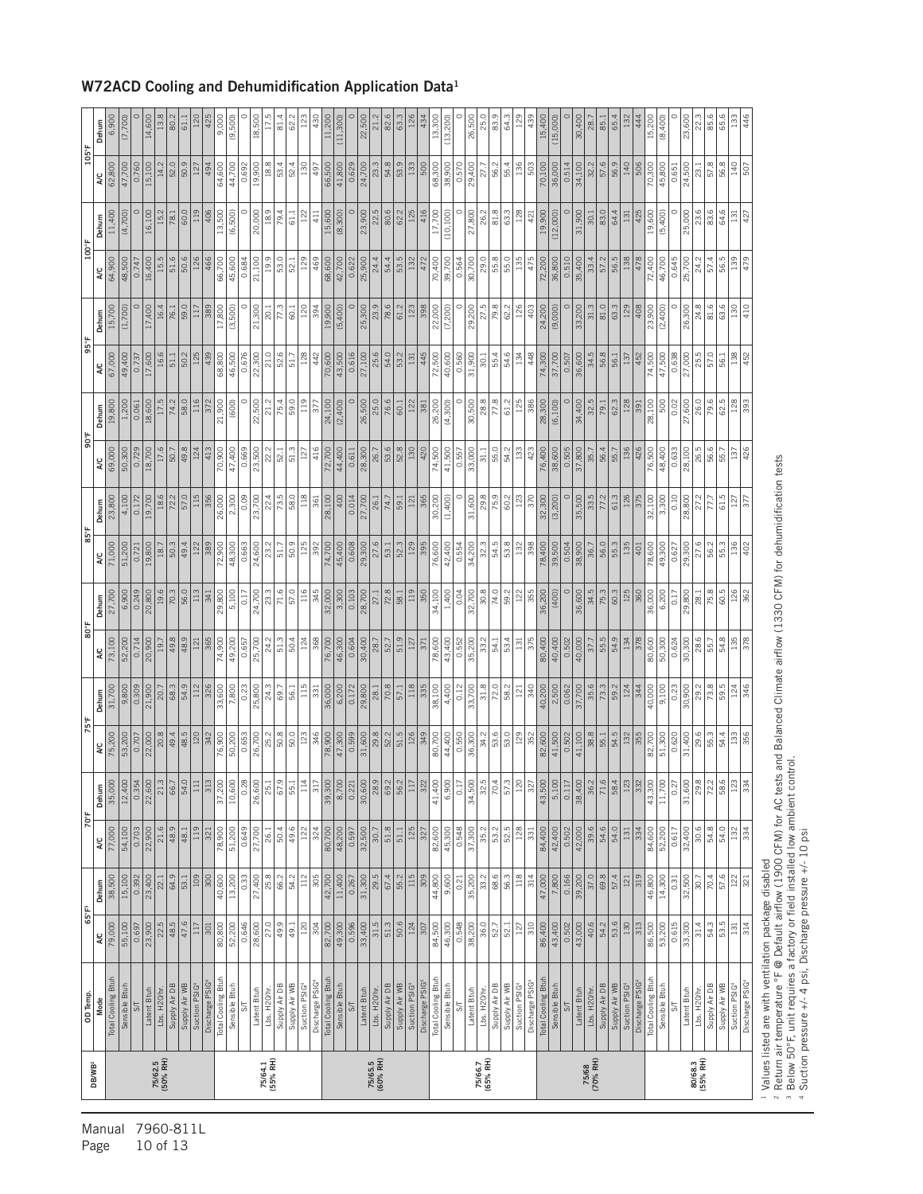|                     | OD Temp                             |                    | 65°F <sup>3</sup> | 70°F            |                             |                  |                        | $\frac{1}{8}08$  |                 |                  |                   | 306              |                    |                 |              | 100°F           |              | $105^{\circ}$ F |                        |
|---------------------|-------------------------------------|--------------------|-------------------|-----------------|-----------------------------|------------------|------------------------|------------------|-----------------|------------------|-------------------|------------------|--------------------|-----------------|--------------|-----------------|--------------|-----------------|------------------------|
| DB/WB <sup>2</sup>  | Mode                                | ¥                  | Dehum             | ¥               | Dehum                       | 2                | Dehum                  | ΝC               | Dehum           | λC               | Dehum             | ¥                | Dehum              | λC              | Dehum        | ¥               | Dehum        | ¥               | Dehum                  |
|                     | Total Cooling Btuh                  | 79,000             | 38,500            | 77,000          | 35,000                      | 75,200           | 31,700                 | 73,100           | 27,700          | 71,000           | 23,800            | 69,000           | 19,800             | 67,000          | 15,700       | 64,900          | 11,400       | 62,800          | 6,900                  |
|                     | Sensible Btuh                       | 55,100             | 15,100            | 54,100          | 12,400                      | 53,200           | 9,800                  | 52,200           | 6,900           | 51,200           | 4,100             | 50,300           | 1,200              | 49,400          | (1,700)      | 48,500          | (4,700)      | 47,700          | (7,700)                |
|                     | 5                                   | 0.697              | 0.392             | 0.703           | $\frac{0.354}{22,600}$      | 0.707            | $\frac{0.309}{21,900}$ | 0.714            | 0.249           | 0.721            | 0.172             | 0.729            | 0.061              | 0.737           |              | 0.747           |              | 0.760           |                        |
|                     | Latent Btuh                         | 23,900             | 23,400            | 22,900          |                             | 22,000           |                        | 20,900           | 20,800          | 19,800           | 19,700            | 18,700           | 18,600             | 17,600          | 17,400       | 16,400          | 16,100       | 15,100          | 14,600                 |
| 75/62.5<br>(50% RH) | Lbs. H <sub>20/hr</sub>             | 22.5               | 22.1              | 21.6            | 21.3                        | 20.8             | 20.7                   | 19.7             | 19.6            | 18.7             | 18.6              | 17.6             | 17.5               | 16.6            | 16.4         | 15.5            | 15.2         | 14.2            | 13.                    |
|                     | Supply Air WB<br>Supply Air DB      | 48.5<br>47.6       | 64.9<br>53.1      | 48.9<br>48.1    | 66.7<br>54.                 | 48.5<br>49.4     | 54.9<br>68.3           | 48.9<br>49.8     | 56.0<br>70.3    | 49.4<br>50.3     | 57.0<br>72.2      | 49.8<br>50.7     | 58.0<br>74.2       | 50.2<br>51.1    | 59.0<br>76.1 | 51.6<br>50.6    | 60.0<br>78.1 | 50.9<br>52.0    | 80.2<br>$\overline{5}$ |
|                     | Suction PSIG                        | 117                | $\sqrt{9}$        | 119             | $\Xi$                       | 120              |                        | 121              | 113             | 122              | 115               | 124              | 116                | 125             |              | 126             | 119          | 127             |                        |
|                     | Discharge PSIG                      | 301                | 300               | 321             | $\frac{31}{3}$              | 342              | 326                    | 365              | 341             | 389              | 356               | 413              | 372                | 439             | 389          | 466             | 406          | 494             | 425                    |
|                     | Total Cooling Btuh                  | 80,800             | 40,600            | 78,900          | 37,200                      | 76,900           | 33,600                 | 74,900           | 29,800          | 72,900           | 26,000            | 70,900           | 21,900             | 68,800          | 17,800       | 66,700          | 13,500       | 64,600          | 9,000                  |
|                     | Sensible Btuh                       | 52,200             | 13,200            | 51,200          | 10,600                      | 50,200           | 7,800                  | 49,200           | 5,100           | 48,300           | 2,300             | 47,400           | (600)              | 46,500          | (3,500)      | 45,600          | (6,500)      | 44,700          | (9,500)                |
|                     | SТ                                  | 0.646              | 0.33              | 0.649           | 0.28                        | 0.653            | 0.23                   | 0.657            | 0.17            | 0.663            | 0.09              | 0.669            |                    | 0.676           |              | 0.684           |              | 0.692           |                        |
|                     | Latent Btuh                         | 28,600             | 27,400            | 27,700          | 26,600                      | 26,700           | 25,800                 | 25,700           | 24,700          | 24,600           | 23,700            | 23,500           | 22,500             | 22,300          | 21,300       | 21,100          | 20,000       | 19,900          | 18,500                 |
| 75/64.1<br>(55% RH) | Lbs. H20/hr.                        | 27.0               | 25.8              | 26.1            | $25$                        | 25.2             | 24.3                   | 24.2             | 23.3            | 23.2             | 22.4              | 22.2             | 21.2               | 21.0            | 20.1         | 19.9            | 18.9         | 18.8            | 17.                    |
|                     | Supply Air DB                       | 49.9               | 66.2              | 50.4            | $\frac{67}{3}$              | <b>SO3</b>       | 69.7                   | 51.3             | 71.6            | 51.7             | 73.5              | 52.1             | 75.4               | 52.6            | 77.3         | 53.0            | 79.4         | 53.4            | 81.4                   |
|                     | Supply Air WB                       | $\frac{49.1}{ }$   | 54.2              | 49.6            | $\overline{55}$ .           | $\frac{60}{30}$  | 56.1                   | 50.4             | 57.0            | 50.9             | 58.0              | 51.3             | 59.0               | 51.7            | 60.1         | 52.1            | 61.1         | 52.4            | ି                      |
|                     | Suction PSIG <sup>4</sup>           | 120                | 112               | 122             | $\tilde{=}$                 | 123              | 115                    | 124              | 116             | 125              | 118               | 127              | 119                | 128             | 120          | 129             | 122          | 130             |                        |
|                     | Discharge PSIG                      | 304                | 305               | 324             | $\frac{1}{3}$               | 346              | 331                    | 368              | 345             | 392              | 361               | 416              | 377                | 442             | 394          | 469             | 411          | 497             | 430                    |
|                     | Total Cooling Btuh                  | 82,700             | 42,700            | 80,700          | 39,300                      | 78,900           | 36,000                 | 76,700           | 32,000          | 74,700           | 28,100            | 72,700           | 24,100             | 70,600          | 19,900       | 68,600          | 15,600       | 66,500          | 11,200                 |
|                     | Sensible Btuh                       | 49,300             | 11,400            | 48,200          | 8,700                       | 47,300           | 6,200                  | 46,300           | 3,300           | 45,400           | 400               | 44,400           | (2,400)            | 43,500          | (5,400)      | 42,700          | (8,300)      | 41,800          | (11, 300)              |
|                     | $\mathbb{S}\mathbb{T}$              | 0.596              | 0.267             | 0.597           | 0.221                       | 0.599            | 0.172                  | 0.604            | 0.103           | 0.608            | 0.014             | 0.611            |                    | 0.616           |              | 0.622           |              | 0.629           |                        |
|                     | Latent Btuh                         | 33,400             | 31,300            | 32,500          | 30,600                      | 31,600           | 29,800                 | 30,400           | 28,700          | 29,300           | 27,700            | 28,300           | 26,500             | 27,100          | 25,300       | 25,900          | 23,900       | 24,700          | 22,500                 |
| 75/65.5<br>(60% RH) | Lbs. H <sub>20/hr</sub>             | 31.5               | 29.5              | 30.7            | $\frac{28.2}{69.2}$         | 29.8             | 28.1                   | 28.7             | 27.1            | 27.6             | 26.1              | 26.7             | 25.0               | 25.6            | 23.9         | 24.4            | 22.5         | 23.3            | 21.2                   |
|                     | Supply Air DB                       | 51.3               | 67.4              | 51.8            |                             | 52.2             | <b>200</b>             | 52.7             | 72.8            | 53.1             | $\overline{74.7}$ | 53.6             | 76.6               | 54.0            | 78.6         | 54.4            | 80.6         | 54.8            | 82.6                   |
|                     | Supply Air WB                       | $\frac{50.6}{124}$ | $55.2$<br>115     | $51.1\,$        | $rac{36}{11}$               | 51.5             | 57.1                   | 51.9             | 58.1            | 52.3             | 59.1              | 52.8             | 60.1               | 53.2            | 61.2         | 53.5            | 62.2         | 53.9            | 63.                    |
|                     | Suction PSIG <sup>4</sup>           |                    |                   | 125             |                             | 126              | 118                    | 127              | 119             | 129              | 121               | 130              | 122                | 131             | 123          | 132             | 125          | 133             |                        |
|                     | Discharge PSIG                      | 307                | 808               | 327             | $\overline{32}$             | 349              | 335                    | 371              | 350             | 395              | 365               | 420              | 381                | 445             | 398          | 472             | 416          | 500             | 434                    |
|                     | Total Cooling Btuh                  | 84,500             | 44,800            | 82,600          | 41,400                      | 80,700           | 38,100                 | 78,600           | 34,100          | 76,600           | 30,200            | 74,500           | 26,200             | 72,500          | 22,000       | 70,400          | 17,700       | 68,300          | 13,300                 |
|                     | Sensible Btuh                       | 46,300             | 9,600             | 45,300          | 6,90                        | 44,400           | 4,400                  | 43,400           | 1,400           | 42,400           | (1,400)           | 41,500           | (4,300)            | 40,600          | (7, 200)     | 39,700          | (10, 100)    | 38,900          | (13, 200)              |
|                     | $\overline{\mathcal{S}}$            | 0.548              | 0.21              | 0.548           | $\frac{1}{2}$               | 0.550            | 0.12                   | 0.552            | 0.04            | 0.554            |                   | 0.557            |                    | 0.560           |              | 0.564           |              | 0.570           |                        |
|                     | Latent Btuh                         | 38,200             | 35,200            | 37,300          | 34,500                      | 36,300           | 33,700                 | 35,200           | 32,700          | 34,200           | 31,600            | 33,000           | 30,500             | 31,900          | 29,200       | 30,700          | 27,800       | 29,400          | 26,500                 |
| 75/66.7<br>(65% RH) | Lbs. H20/hr.                        | 36.0               | 33.2              | 35.2            | $rac{32}{32}$               | 34.2             | 31.8                   | 33.2             | 30.8            | 32.3             | 29.8              | 31.1             | 28.8               | 30.1            | 27.5         | 29.0            | 26.2         | 27.7            | 25.0                   |
|                     | Supply Air DB                       | 52.7               | 68.6              | 53.2            | $\overline{)0.4}$           | 53.6             | 72.0                   | 54.1             | 74.0            | 54.5             | 75.9              | 55.0             | 77.8               | 55.4            | 79.8         | 55.8            | 81.8         | 56.2            | 83                     |
|                     | Supply Air WB                       | 52.1               | 56.3              | 52.5            | 57.3                        | 53.0             | 58.2                   | 53.4             | 59.2            | 53.8             | 60.2              | 54.2             | 61.2               | 54.6            | 62.2         | 55.0            | 63.3         | 55.4            | 64.3                   |
|                     | Suction PSIG <sup>4</sup>           | 127                | $\frac{18}{118}$  | 28              | ¤਼                          | $\frac{129}{2}$  | $\overline{121}$       | <sup>131</sup>   | 122             | 132              | 123               | 33               | 125                | 134             | 126          | 135             | 128          | 136             |                        |
|                     | Discharge PSIG                      | 310                | 314               | 331             | $\frac{32}{3}$              | 352              | 340                    | 375              | 355             | 398              | 370               | 423              | 386                | 448             | 403          | 475             | 421          | 503             | 439                    |
|                     | Total Cooling Btuh<br>Sensible Btuh | 86,400             | 7,800<br>47,000   | 84,400          | 43,500<br>$\frac{5,100}{ }$ | 82,600<br>41,500 | 2,500<br>40,200        | 80,400<br>40,400 | 36,200<br>(400) | 78,400<br>39,500 | 32,300            | 76,400<br>38,600 | 28,300<br>(6, 100) | 74,300          | 24,200       | 72,200          | 19,900       | 70,100          | 15,400                 |
|                     | $5\sqrt{ }$                         | 0.502<br>43,400    | 0.166             | 0.502<br>42,400 | 0.117                       | 0.502            | 0.062                  | 0.502            | $\circ$         | 0.504            | (3, 200)          | 0.505            |                    | 37,700<br>0.507 | (9,000)      | 36,800<br>0.510 | (12,000)     | 36,000<br>0.514 | (15,000)               |
|                     | Latent Btuh                         | 43,000             | 39,200            | 42,000          | 38,400                      | 41,100           | 37,700                 | 40,000           | 36,600          | 38,900           | 35,500            | 37,800           | 34,400             | 36,600          | 33,200       | 35,400          | 31,900       | 34,100          | 30,400                 |
| 75/68<br>(70% RH)   | Lbs. H20/hr                         | 40.6               | 37.0              | 39.6            | 36.                         | 38.8             | 35.6                   | 37.7             | 34.5            | 36.7             | 33.5              | 35.7             | 32.5               | 34.5            | 31.3         | 33.4            | 30.1         | 32.2            | 28.                    |
|                     | Supply Air DB                       | 54.2               | 69.8              | 54.6            | 71.6                        | 55.1             | 73.3                   | 55.5             | 75.3            | 56.0             | 77.2              | 56.4             | 79.1               | 56.8            | 81.0         | 57.2            | 83.0         | 57.6            | 85.                    |
|                     | Supply Air WB                       | 53.6               | 57.4              | 54.0            | 58.                         | 54.5             | 59.2                   | 54.9             | 60.3            | 55.3             | 61.3              | 55.7             | 62.3               | 56.1            | 63.3         | 56.5            | 64.4         | 56.9            | 65.4                   |
|                     | Suction PSIG                        | 130                | 121               | $131\,$         | $\frac{12}{33}$             | 132              | 124                    | 134              | 125             | 135              | 126               | 136              | 128                | 137             | 129          | 138             | 131          | 140             | 132                    |
|                     | Discharge PSIG                      | 313                | 319               | 334             |                             | 355              | 344                    | 378              | 360             | 401              | 375               | 426              | 391                | 452             | 408          | 478             | 425          | 506             | 444                    |
|                     | Total Cooling Btuh                  | 86,500             | 46,800            | 84,600          | 43,300                      | 82,700           | 40,000                 | 80,600           | 36,000          | 78,600           | 32,100            | 76,500           | 28,100             | 74,500          | 23,900       | 72,400          | 19,600       | 70,300          | 15,200                 |
|                     | Sensible Btuh                       | 53,200             | 14,300            | 52,200          | 11,700                      | 51,300           | 9,100                  | 50,300           | 6,200           | 49,300           | 3,300             | 48,400           | 500                | 47,500          | (2,400)      | 46,700          | (5,400)      | 45,800          | (8,400)                |
|                     | SΤ                                  | 0.615              | 0.31              | 0.617           | 0.2                         | 0.620            | 0.23                   | 0.624            | 0.17            | 0.627            | 0.10              | 0.633            | 0.02               | 0.638           |              | 0.645           |              | 0.651           |                        |
|                     | Latent Btuh                         | 33,300             | 32,500            | 32,400          | 31,600                      | 31,400           | 30,900                 | 30,300           | 29,800          | 29,300           | 28,800            | 28,100           | 27,600             | 27,000          | 26,300       | 25,700          | 25,000       | 24,500          | 23,600                 |
| 80/68.3<br>(55% RH) | Lbs. H20/hr                         | 31.4               | 30.7              | 30.6            | 29.5                        | 29.6             | 29.2                   | 28.6             | 28.1            | 27.6             | 27.2<br>77.7      | 26.5             | 26.0               | 25.5            | 24.8         | 24.2            | 23.6         | 23.1            | 22.                    |
|                     | Supply Air WB<br>Supply Air DB      | 54.3<br>53.5       | 70.4<br>57.6      | 54.8<br>54.0    | 72.<br>58.                  | 55.3<br>54.4     | 73.8<br>59.5           | 54.8<br>55.7     | 75.8<br>60.5    | 56.2<br>55.3     | 61.5              | 56.6<br>55.7     | 79.6<br>62.5       | 57.0<br>56.1    | 81.6<br>63.6 | 57.4<br>56.5    | 83.6<br>64.6 | 57.8<br>56.8    | 85.6<br>65.6           |
|                     | Suction PSIG <sup>4</sup>           | 131                |                   | 132             |                             | 133              | 124                    | 135              | 126             | 136              | 127               | 137              | 128                | 138             | 130          | 139             | 131          | 140             | 133                    |
|                     | Discharge PSIG                      | 314                | $\frac{122}{321}$ | 334             | $\frac{2}{3}$               | 356              | 346                    |                  | 362             | 402              | 377               | 426              | 393                | 452             | 410          |                 | 427          | 507             | 446                    |
|                     |                                     |                    |                   |                 |                             |                  |                        |                  |                 |                  |                   |                  |                    |                 |              |                 |              |                 |                        |

- 2012

Values listed are with ventilation package disabled

Suction pressure +/- 4 psi, Discharge pressure +/- 10 psi

<sup>2</sup> Return air temperature °F @ Default airflow (1900 CFM) for AC tests and Balanced Climate airflow (1330 CFM) for dehumidification tests<br>3 Below 50°F, unit requires a factory or field installed low ambient control.

W72ACD Cooling and Dehumidification Application Data1

Manual 7960-811L<br>Page 10 of 13 10 of 13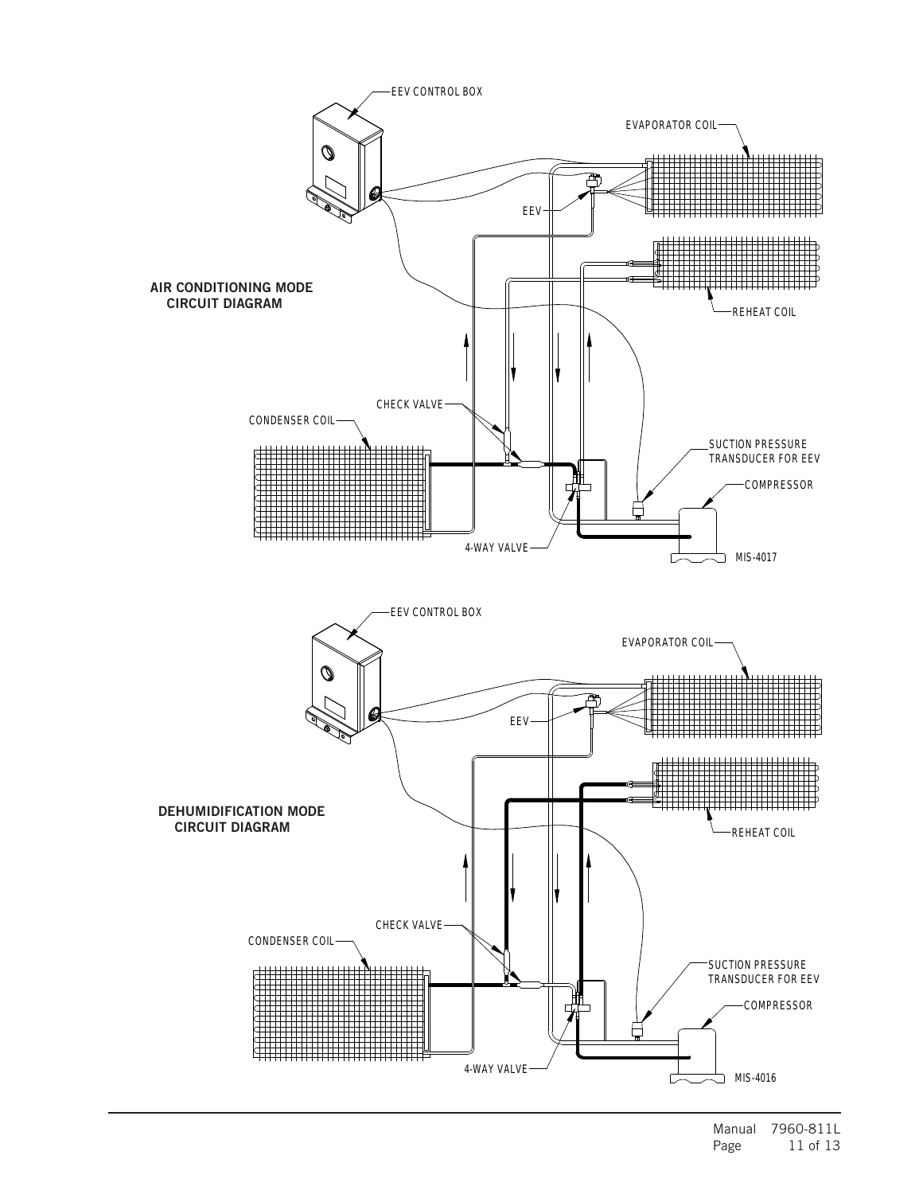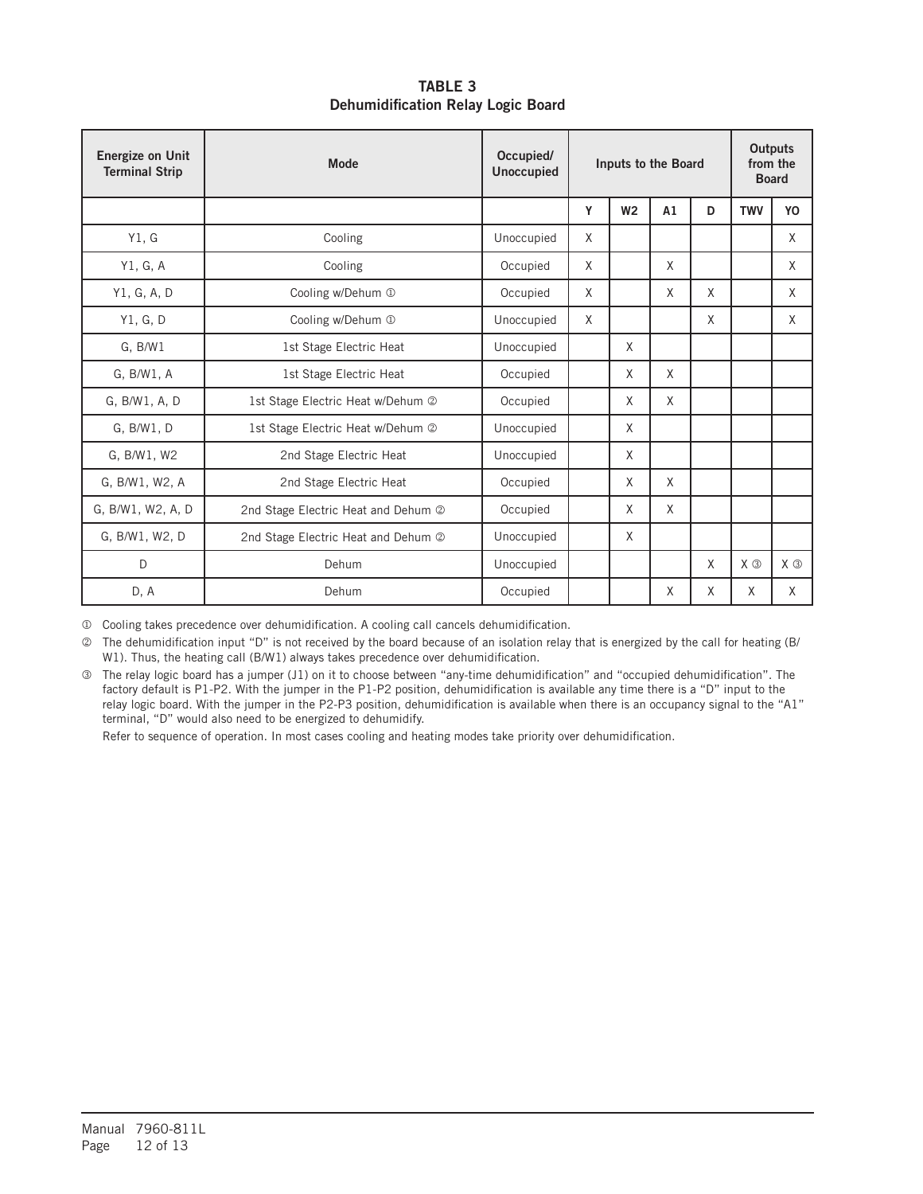TABLE 3 Dehumidification Relay Logic Board

| <b>Energize on Unit</b><br><b>Terminal Strip</b> | Mode                                | Occupied/<br><b>Unoccupied</b> |   | Inputs to the Board |    |   |             | <b>Outputs</b><br>from the<br><b>Board</b> |
|--------------------------------------------------|-------------------------------------|--------------------------------|---|---------------------|----|---|-------------|--------------------------------------------|
|                                                  |                                     |                                | Y | W <sub>2</sub>      | A1 | D | <b>TWV</b>  | YO                                         |
| Y1, G                                            | Cooling                             | Unoccupied                     | X |                     |    |   |             | X                                          |
| Y1, G, A                                         | Cooling                             | Occupied                       | X |                     | X  |   |             | X                                          |
| Y1, G, A, D                                      | Cooling w/Dehum 1                   | Occupied                       | X |                     | X  | X |             | X                                          |
| Y1, G, D                                         | Cooling w/Dehum 1                   | Unoccupied                     | X |                     |    | X |             | X                                          |
| G. B/W1                                          | 1st Stage Electric Heat             | Unoccupied                     |   | X                   |    |   |             |                                            |
| G. B/W1, A                                       | 1st Stage Electric Heat             | Occupied                       |   | X                   | X  |   |             |                                            |
| G, B/W1, A, D                                    | 1st Stage Electric Heat w/Dehum 2   | Occupied                       |   | X                   | X  |   |             |                                            |
| G. B/W1, D                                       | 1st Stage Electric Heat w/Dehum 2   | Unoccupied                     |   | X                   |    |   |             |                                            |
| G. B/W1, W2                                      | 2nd Stage Electric Heat             | Unoccupied                     |   | X                   |    |   |             |                                            |
| G, B/W1, W2, A                                   | 2nd Stage Electric Heat             | Occupied                       |   | X                   | X  |   |             |                                            |
| G, B/W1, W2, A, D                                | 2nd Stage Electric Heat and Dehum 2 | Occupied                       |   | X                   | X  |   |             |                                            |
| G, B/W1, W2, D                                   | 2nd Stage Electric Heat and Dehum 2 | Unoccupied                     |   | X                   |    |   |             |                                            |
| D                                                | Dehum                               | Unoccupied                     |   |                     |    | X | $X$ $\odot$ | $X$ $\odot$                                |
| D, A                                             | Dehum                               | Occupied                       |   |                     | X  | X | X           | X                                          |

Cooling takes precedence over dehumidification. A cooling call cancels dehumidification.

 The dehumidification input "D" is not received by the board because of an isolation relay that is energized by the call for heating (B/ W1). Thus, the heating call (B/W1) always takes precedence over dehumidification.

 The relay logic board has a jumper (J1) on it to choose between "any-time dehumidification" and "occupied dehumidification". The factory default is P1-P2. With the jumper in the P1-P2 position, dehumidification is available any time there is a "D" input to the relay logic board. With the jumper in the P2-P3 position, dehumidification is available when there is an occupancy signal to the "A1" terminal, "D" would also need to be energized to dehumidify.

Refer to sequence of operation. In most cases cooling and heating modes take priority over dehumidification.